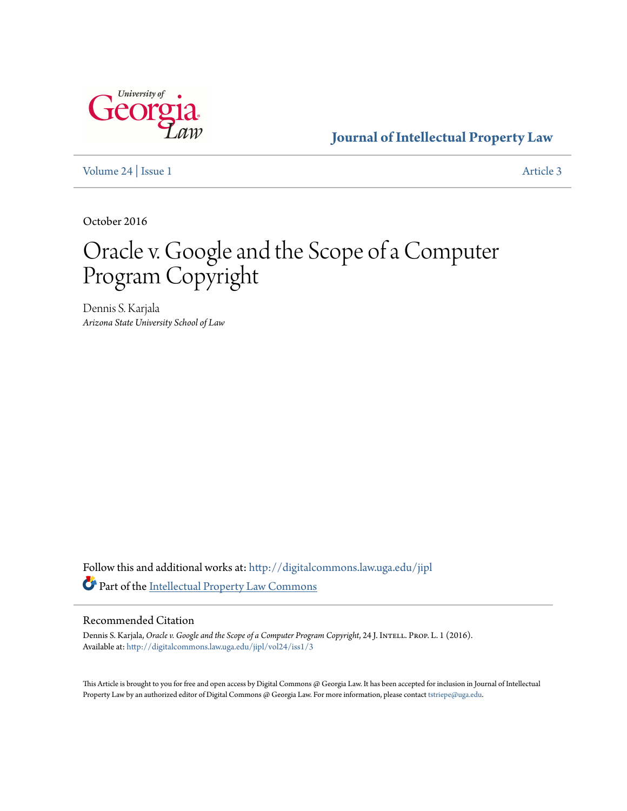

**[Journal of Intellectual Property Law](http://digitalcommons.law.uga.edu/jipl?utm_source=digitalcommons.law.uga.edu%2Fjipl%2Fvol24%2Fiss1%2F3&utm_medium=PDF&utm_campaign=PDFCoverPages)**

[Volume 24](http://digitalcommons.law.uga.edu/jipl/vol24?utm_source=digitalcommons.law.uga.edu%2Fjipl%2Fvol24%2Fiss1%2F3&utm_medium=PDF&utm_campaign=PDFCoverPages) | [Issue 1](http://digitalcommons.law.uga.edu/jipl/vol24/iss1?utm_source=digitalcommons.law.uga.edu%2Fjipl%2Fvol24%2Fiss1%2F3&utm_medium=PDF&utm_campaign=PDFCoverPages) [Article 3](http://digitalcommons.law.uga.edu/jipl/vol24/iss1/3?utm_source=digitalcommons.law.uga.edu%2Fjipl%2Fvol24%2Fiss1%2F3&utm_medium=PDF&utm_campaign=PDFCoverPages)

October 2016

# Oracle v. Google and the Scope of a Computer Program Copyright

Dennis S. Karjala *Arizona State University School of Law*

Follow this and additional works at: [http://digitalcommons.law.uga.edu/jipl](http://digitalcommons.law.uga.edu/jipl?utm_source=digitalcommons.law.uga.edu%2Fjipl%2Fvol24%2Fiss1%2F3&utm_medium=PDF&utm_campaign=PDFCoverPages) Part of the [Intellectual Property Law Commons](http://network.bepress.com/hgg/discipline/896?utm_source=digitalcommons.law.uga.edu%2Fjipl%2Fvol24%2Fiss1%2F3&utm_medium=PDF&utm_campaign=PDFCoverPages)

## Recommended Citation

Dennis S. Karjala, *Oracle v. Google and the Scope of a Computer Program Copyright*, 24 J. INTELL. PROP. L. 1 (2016). Available at: [http://digitalcommons.law.uga.edu/jipl/vol24/iss1/3](http://digitalcommons.law.uga.edu/jipl/vol24/iss1/3?utm_source=digitalcommons.law.uga.edu%2Fjipl%2Fvol24%2Fiss1%2F3&utm_medium=PDF&utm_campaign=PDFCoverPages)

This Article is brought to you for free and open access by Digital Commons @ Georgia Law. It has been accepted for inclusion in Journal of Intellectual Property Law by an authorized editor of Digital Commons @ Georgia Law. For more information, please contact [tstriepe@uga.edu.](mailto:tstriepe@uga.edu)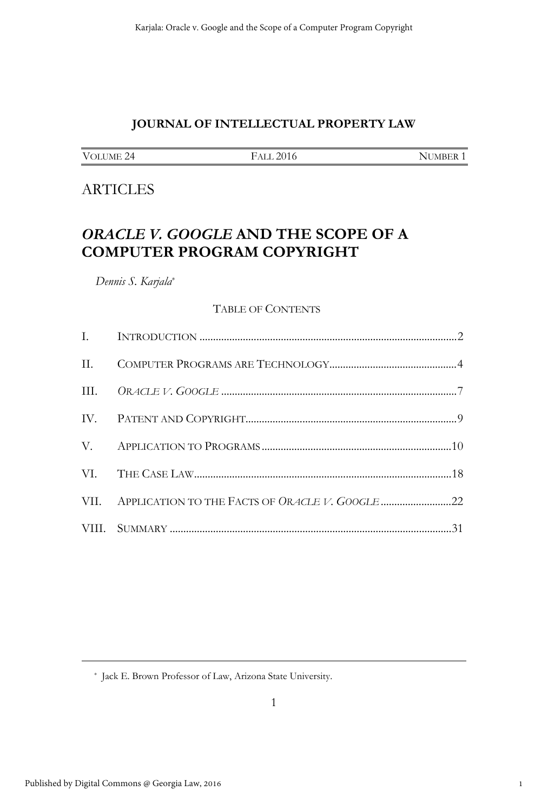# **JOURNAL OF INTELLECTUAL PROPERTY LAW**

| VOLUME 24 |  |
|-----------|--|
|           |  |

FALL 2016 NUMBER 1

# **ARTICLES**

# *ORACLE V. GOOGLE* **AND THE SCOPE OF A COMPUTER PROGRAM COPYRIGHT**

*Dennis S. Karjala*\*

#### TABLE OF CONTENTS

\* Jack E. Brown Professor of Law, Arizona State University.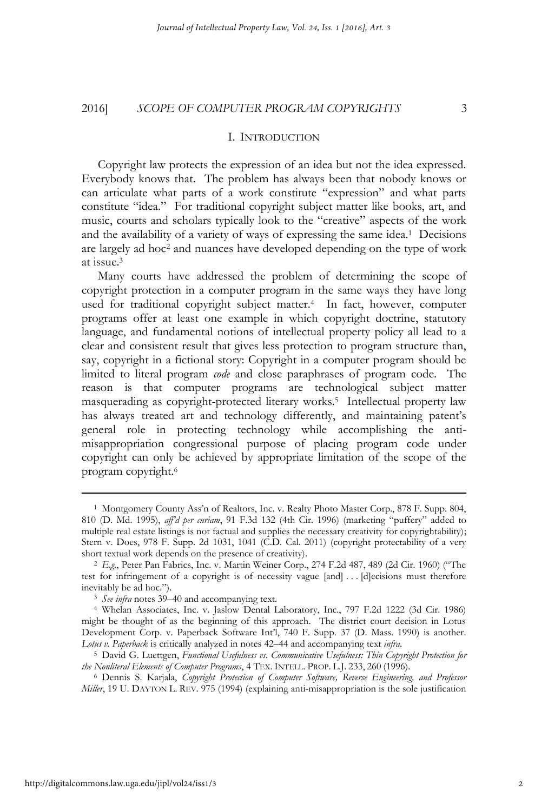#### I. INTRODUCTION

Copyright law protects the expression of an idea but not the idea expressed. Everybody knows that. The problem has always been that nobody knows or can articulate what parts of a work constitute "expression" and what parts constitute "idea." For traditional copyright subject matter like books, art, and music, courts and scholars typically look to the "creative" aspects of the work and the availability of a variety of ways of expressing the same idea.1 Decisions are largely ad hoc2 and nuances have developed depending on the type of work at issue.3

Many courts have addressed the problem of determining the scope of copyright protection in a computer program in the same ways they have long used for traditional copyright subject matter.<sup>4</sup> In fact, however, computer programs offer at least one example in which copyright doctrine, statutory language, and fundamental notions of intellectual property policy all lead to a clear and consistent result that gives less protection to program structure than, say, copyright in a fictional story: Copyright in a computer program should be limited to literal program *code* and close paraphrases of program code. The reason is that computer programs are technological subject matter masquerading as copyright-protected literary works.5 Intellectual property law has always treated art and technology differently, and maintaining patent's general role in protecting technology while accomplishing the antimisappropriation congressional purpose of placing program code under copyright can only be achieved by appropriate limitation of the scope of the program copyright.6

<sup>1</sup> Montgomery County Ass'n of Realtors, Inc. v. Realty Photo Master Corp., 878 F. Supp. 804, 810 (D. Md. 1995), *aff'd per curiam*, 91 F.3d 132 (4th Cir. 1996) (marketing "puffery" added to multiple real estate listings is not factual and supplies the necessary creativity for copyrightability); Stern v. Does, 978 F. Supp. 2d 1031, 1041 (C.D. Cal. 2011) (copyright protectability of a very short textual work depends on the presence of creativity).

<sup>&</sup>lt;sup>2</sup> E.g., Peter Pan Fabrics, Inc. v. Martin Weiner Corp., 274 F.2d 487, 489 (2d Cir. 1960) ("The test for infringement of a copyright is of necessity vague [and] . . . [d]ecisions must therefore inevitably be ad hoc."). 3 *See infra* notes 39–40 and accompanying text. 4 Whelan Associates, Inc. v. Jaslow Dental Laboratory, Inc., 797 F.2d 1222 (3d Cir. 1986)

might be thought of as the beginning of this approach. The district court decision in Lotus Development Corp. v. Paperback Software Int'l, 740 F. Supp. 37 (D. Mass. 1990) is another. *Lotus v. Paperback* is critically analyzed in notes 42–44 and accompanying text *infra*.

<sup>5</sup> David G. Luettgen, *Functional Usefulness vs. Communicative Usefulness: Thin Copyright Protection for the Nonliteral Elements of Computer Programs*, 4 TEX. INTELL. PROP. L.J. 233, 260 (1996).

<sup>6</sup> Dennis S. Karjala, *Copyright Protection of Computer Software, Reverse Engineering, and Professor Miller*, 19 U. DAYTON L. REV. 975 (1994) (explaining anti-misappropriation is the sole justification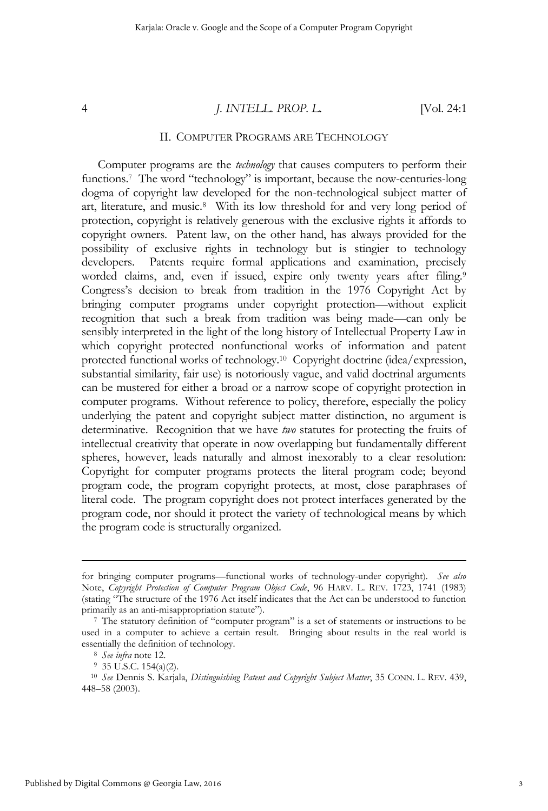#### II. COMPUTER PROGRAMS ARE TECHNOLOGY

Computer programs are the *technology* that causes computers to perform their functions.<sup>7</sup> The word "technology" is important, because the now-centuries-long dogma of copyright law developed for the non-technological subject matter of art, literature, and music.8 With its low threshold for and very long period of protection, copyright is relatively generous with the exclusive rights it affords to copyright owners. Patent law, on the other hand, has always provided for the possibility of exclusive rights in technology but is stingier to technology developers. Patents require formal applications and examination, precisely worded claims, and, even if issued, expire only twenty years after filing.<sup>9</sup> Congress's decision to break from tradition in the 1976 Copyright Act by bringing computer programs under copyright protection—without explicit recognition that such a break from tradition was being made—can only be sensibly interpreted in the light of the long history of Intellectual Property Law in which copyright protected nonfunctional works of information and patent protected functional works of technology.10 Copyright doctrine (idea/expression, substantial similarity, fair use) is notoriously vague, and valid doctrinal arguments can be mustered for either a broad or a narrow scope of copyright protection in computer programs. Without reference to policy, therefore, especially the policy underlying the patent and copyright subject matter distinction, no argument is determinative. Recognition that we have *two* statutes for protecting the fruits of intellectual creativity that operate in now overlapping but fundamentally different spheres, however, leads naturally and almost inexorably to a clear resolution: Copyright for computer programs protects the literal program code; beyond program code, the program copyright protects, at most, close paraphrases of literal code. The program copyright does not protect interfaces generated by the program code, nor should it protect the variety of technological means by which the program code is structurally organized.

for bringing computer programs—functional works of technology-under copyright). *See also* Note, *Copyright Protection of Computer Program Object Code*, 96 HARV. L. REV. 1723, 1741 (1983) (stating "The structure of the 1976 Act itself indicates that the Act can be understood to function

<sup>&</sup>lt;sup>7</sup> The statutory definition of "computer program" is a set of statements or instructions to be used in a computer to achieve a certain result. Bringing about results in the real world is essentially the definition of technology.<br><sup>8</sup> *See infra* note 12.<br><sup>9</sup> 35 U.S.C. 154(a)(2).

<sup>10</sup> *See* Dennis S. Karjala, *Distinguishing Patent and Copyright Subject Matter*, 35 CONN. L. REV. 439, 448–58 (2003).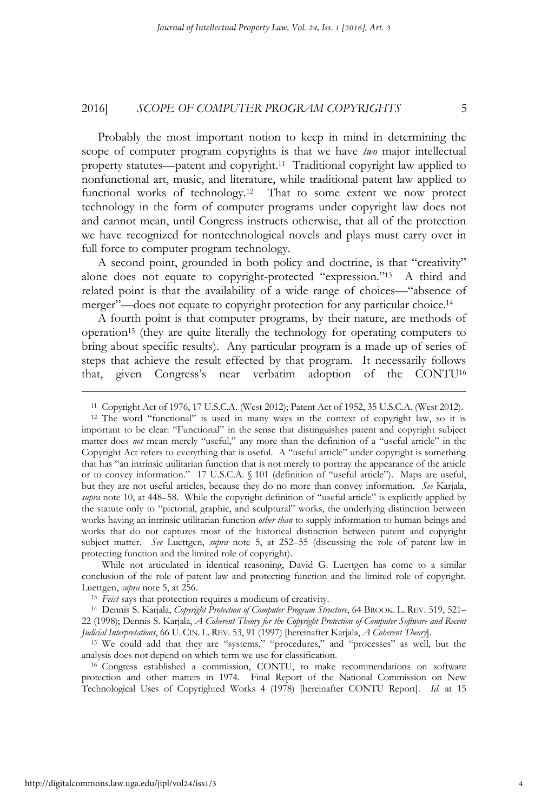Probably the most important notion to keep in mind in determining the scope of computer program copyrights is that we have *two* major intellectual property statutes—patent and copyright.11 Traditional copyright law applied to nonfunctional art, music, and literature, while traditional patent law applied to functional works of technology.<sup>12</sup> That to some extent we now protect technology in the form of computer programs under copyright law does not and cannot mean, until Congress instructs otherwise, that all of the protection we have recognized for nontechnological novels and plays must carry over in full force to computer program technology.

A second point, grounded in both policy and doctrine, is that "creativity" alone does not equate to copyright-protected "expression."13 A third and related point is that the availability of a wide range of choices—"absence of merger"—does not equate to copyright protection for any particular choice.14

A fourth point is that computer programs, by their nature, are methods of operation15 (they are quite literally the technology for operating computers to bring about specific results). Any particular program is a made up of series of steps that achieve the result effected by that program. It necessarily follows that, given Congress's near verbatim adoption of the CONTU16

 While not articulated in identical reasoning, David G. Luettgen has come to a similar conclusion of the role of patent law and protecting function and the limited role of copyright. Luettgen, *supra* note 5, at 256. 13 *Feist* says that protection requires a modicum of creativity. 14 Dennis S. Karjala, *Copyright Protection of Computer Program Structure*, 64 BROOK. L. REV. 519, 521–

22 (1998); Dennis S. Karjala, *A Coherent Theory for the Copyright Protection of Computer Software and Recent Judicial Interpretations*, 66 U. CIN. L. REV. 53, 91 (1997) [hereinafter Karjala, *A Coherent Theory*].

15 We could add that they are "systems," "procedures," and "processes" as well, but the analysis does not depend on which term we use for classification. 16 Congress established a commission, CONTU, to make recommendations on software

protection and other matters in 1974. Final Report of the National Commission on New Technological Uses of Copyrighted Works 4 (1978) [hereinafter CONTU Report]. *Id*. at 15

<sup>11</sup> Copyright Act of 1976, 17 U.S.C.A. (West 2012); Patent Act of 1952, 35 U.S.C.A. (West 2012).

<sup>12</sup> The word "functional" is used in many ways in the context of copyright law, so it is important to be clear: "Functional" in the sense that distinguishes patent and copyright subject matter does *not* mean merely "useful," any more than the definition of a "useful article" in the Copyright Act refers to everything that is useful. A "useful article" under copyright is something that has "an intrinsic utilitarian function that is not merely to portray the appearance of the article or to convey information." 17 U.S.C.A. § 101 (definition of "useful article"). Maps are useful, but they are not useful articles, because they do no more than convey information. *See* Karjala, *supra* note 10, at 448–58. While the copyright definition of "useful article" is explicitly applied by the statute only to "pictorial, graphic, and sculptural" works, the underlying distinction between works having an intrinsic utilitarian function *other than* to supply information to human beings and works that do not captures most of the historical distinction between patent and copyright subject matter. *See* Luettgen, *supra* note 5, at 252–55 (discussing the role of patent law in protecting function and the limited role of copyright).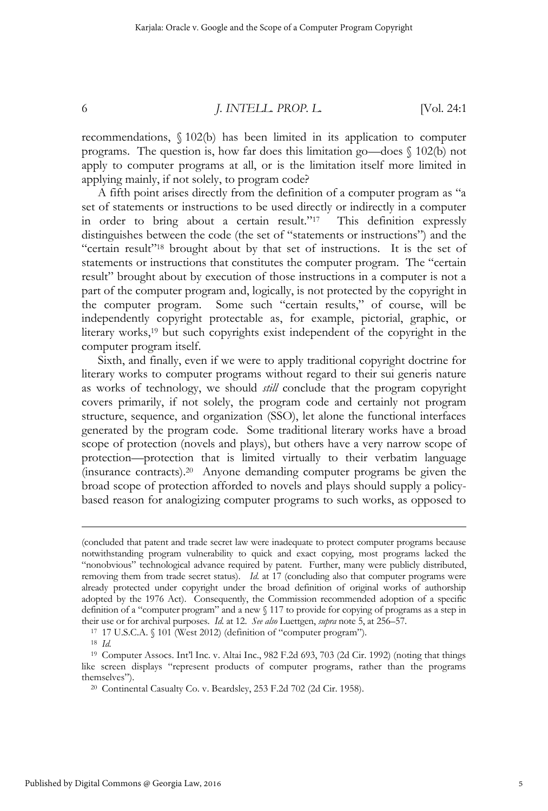recommendations, § 102(b) has been limited in its application to computer programs. The question is, how far does this limitation go—does § 102(b) not apply to computer programs at all, or is the limitation itself more limited in applying mainly, if not solely, to program code?

A fifth point arises directly from the definition of a computer program as "a set of statements or instructions to be used directly or indirectly in a computer in order to bring about a certain result."17 This definition expressly distinguishes between the code (the set of "statements or instructions") and the "certain result"18 brought about by that set of instructions. It is the set of statements or instructions that constitutes the computer program. The "certain result" brought about by execution of those instructions in a computer is not a part of the computer program and, logically, is not protected by the copyright in the computer program. Some such "certain results," of course, will be independently copyright protectable as, for example, pictorial, graphic, or literary works,<sup>19</sup> but such copyrights exist independent of the copyright in the computer program itself.

Sixth, and finally, even if we were to apply traditional copyright doctrine for literary works to computer programs without regard to their sui generis nature as works of technology, we should *still* conclude that the program copyright covers primarily, if not solely, the program code and certainly not program structure, sequence, and organization (SSO), let alone the functional interfaces generated by the program code. Some traditional literary works have a broad scope of protection (novels and plays), but others have a very narrow scope of protection—protection that is limited virtually to their verbatim language (insurance contracts).20 Anyone demanding computer programs be given the broad scope of protection afforded to novels and plays should supply a policybased reason for analogizing computer programs to such works, as opposed to

<sup>(</sup>concluded that patent and trade secret law were inadequate to protect computer programs because notwithstanding program vulnerability to quick and exact copying, most programs lacked the "nonobvious" technological advance required by patent. Further, many were publicly distributed, removing them from trade secret status). *Id*. at 17 (concluding also that computer programs were already protected under copyright under the broad definition of original works of authorship adopted by the 1976 Act). Consequently, the Commission recommended adoption of a specific definition of a "computer program" and a new § 117 to provide for copying of programs as a step in their use or for archival purposes. *Id.* at 12. *See also* Luettgen, *supra* note 5, at 256–57. <sup>17</sup> 17 U.S.C.A. § 101 (West 2012) (definition of "computer program"). <sup>18</sup> *Id.* 

<sup>19</sup> Computer Assocs. Int'l Inc. v. Altai Inc., 982 F.2d 693, 703 (2d Cir. 1992) (noting that things like screen displays "represent products of computer programs, rather than the programs themselves"). 20 Continental Casualty Co. v. Beardsley, 253 F.2d 702 (2d Cir. 1958).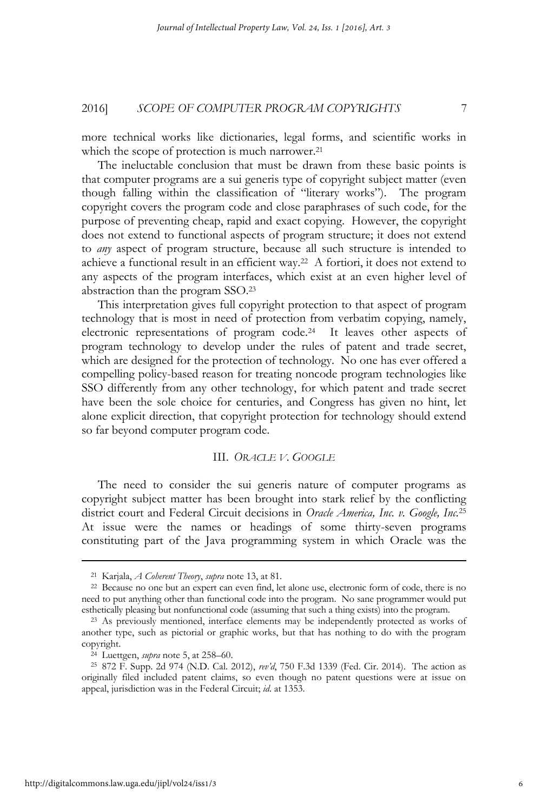more technical works like dictionaries, legal forms, and scientific works in which the scope of protection is much narrower.<sup>21</sup>

The ineluctable conclusion that must be drawn from these basic points is that computer programs are a sui generis type of copyright subject matter (even though falling within the classification of "literary works"). The program copyright covers the program code and close paraphrases of such code, for the purpose of preventing cheap, rapid and exact copying. However, the copyright does not extend to functional aspects of program structure; it does not extend to *any* aspect of program structure, because all such structure is intended to achieve a functional result in an efficient way.22 A fortiori, it does not extend to any aspects of the program interfaces, which exist at an even higher level of abstraction than the program SSO.23

This interpretation gives full copyright protection to that aspect of program technology that is most in need of protection from verbatim copying, namely, electronic representations of program code.24 It leaves other aspects of program technology to develop under the rules of patent and trade secret, which are designed for the protection of technology. No one has ever offered a compelling policy-based reason for treating noncode program technologies like SSO differently from any other technology, for which patent and trade secret have been the sole choice for centuries, and Congress has given no hint, let alone explicit direction, that copyright protection for technology should extend so far beyond computer program code.

#### III. *ORACLE V. GOOGLE*

The need to consider the sui generis nature of computer programs as copyright subject matter has been brought into stark relief by the conflicting district court and Federal Circuit decisions in *Oracle America, Inc. v. Google, Inc.*25 At issue were the names or headings of some thirty-seven programs constituting part of the Java programming system in which Oracle was the

<sup>21</sup> Karjala, *A Coherent Theory*, *supra* note 13, at 81.

<sup>22</sup> Because no one but an expert can even find, let alone use, electronic form of code, there is no need to put anything other than functional code into the program. No sane programmer would put esthetically pleasing but nonfunctional code (assuming that such a thing exists) into the program. 23 As previously mentioned, interface elements may be independently protected as works of

another type, such as pictorial or graphic works, but that has nothing to do with the program copyright.

<sup>24</sup> Luettgen, *supra* note 5, at 258–60. 25 872 F. Supp. 2d 974 (N.D. Cal. 2012), *rev'd*, 750 F.3d 1339 (Fed. Cir. 2014). The action as originally filed included patent claims, so even though no patent questions were at issue on appeal, jurisdiction was in the Federal Circuit; *id*. at 1353.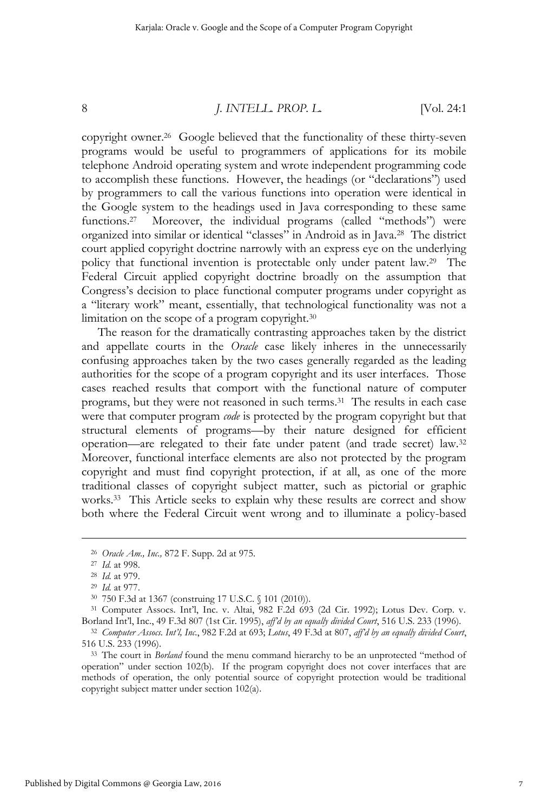copyright owner.26 Google believed that the functionality of these thirty-seven programs would be useful to programmers of applications for its mobile telephone Android operating system and wrote independent programming code to accomplish these functions. However, the headings (or "declarations") used by programmers to call the various functions into operation were identical in the Google system to the headings used in Java corresponding to these same functions.<sup>27</sup> Moreover, the individual programs (called "methods") were organized into similar or identical "classes" in Android as in Java.28 The district court applied copyright doctrine narrowly with an express eye on the underlying policy that functional invention is protectable only under patent law.29 The Federal Circuit applied copyright doctrine broadly on the assumption that Congress's decision to place functional computer programs under copyright as a "literary work" meant, essentially, that technological functionality was not a limitation on the scope of a program copyright.30

The reason for the dramatically contrasting approaches taken by the district and appellate courts in the *Oracle* case likely inheres in the unnecessarily confusing approaches taken by the two cases generally regarded as the leading authorities for the scope of a program copyright and its user interfaces. Those cases reached results that comport with the functional nature of computer programs, but they were not reasoned in such terms.31 The results in each case were that computer program *code* is protected by the program copyright but that structural elements of programs—by their nature designed for efficient operation—are relegated to their fate under patent (and trade secret) law.32 Moreover, functional interface elements are also not protected by the program copyright and must find copyright protection, if at all, as one of the more traditional classes of copyright subject matter, such as pictorial or graphic works.<sup>33</sup> This Article seeks to explain why these results are correct and show both where the Federal Circuit went wrong and to illuminate a policy-based

<sup>&</sup>lt;sup>26</sup> Oracle Am., Inc., 872 F. Supp. 2d at 975.<br>
<sup>27</sup> Id. at 998.<br>
<sup>28</sup> Id. at 979.<br>
<sup>29</sup> Id. at 977.<br>
<sup>30</sup> 750 F.3d at 1367 (construing 17 U.S.C. § 101 (2010)).<br>
<sup>31</sup> Computer Assocs. Int'l, Inc. v. Altai, 982 F.2d 693 (2d Borland Int'l, Inc., 49 F.3d 807 (1st Cir. 1995), aff'd by an equally divided Court, 516 U.S. 233 (1996).<br><sup>32</sup> Computer Assocs. Int'l, Inc., 982 F.2d at 693; Lotus, 49 F.3d at 807, aff'd by an equally divided Court,

<sup>516</sup> U.S. 233 (1996).

<sup>33</sup> The court in *Borland* found the menu command hierarchy to be an unprotected "method of operation" under section 102(b). If the program copyright does not cover interfaces that are methods of operation, the only potential source of copyright protection would be traditional copyright subject matter under section 102(a).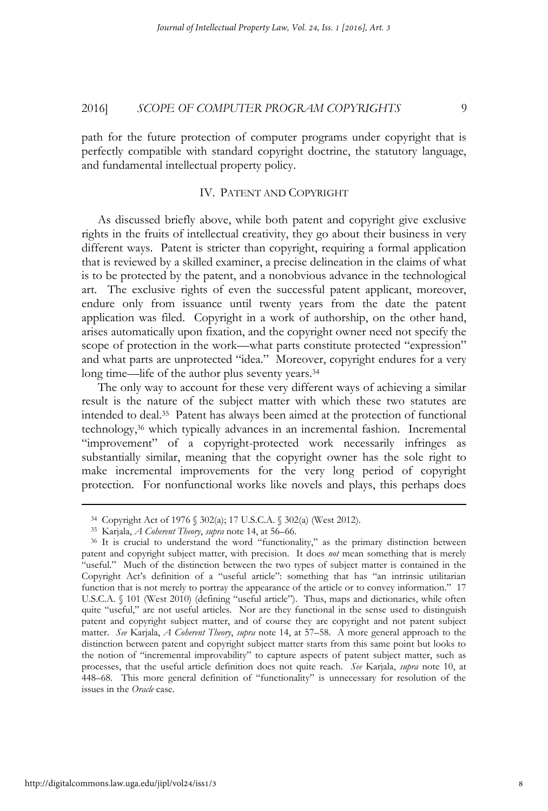path for the future protection of computer programs under copyright that is perfectly compatible with standard copyright doctrine, the statutory language, and fundamental intellectual property policy.

#### IV. PATENT AND COPYRIGHT

As discussed briefly above, while both patent and copyright give exclusive rights in the fruits of intellectual creativity, they go about their business in very different ways. Patent is stricter than copyright, requiring a formal application that is reviewed by a skilled examiner, a precise delineation in the claims of what is to be protected by the patent, and a nonobvious advance in the technological art. The exclusive rights of even the successful patent applicant, moreover, endure only from issuance until twenty years from the date the patent application was filed. Copyright in a work of authorship, on the other hand, arises automatically upon fixation, and the copyright owner need not specify the scope of protection in the work—what parts constitute protected "expression" and what parts are unprotected "idea." Moreover, copyright endures for a very long time—life of the author plus seventy years.<sup>34</sup>

The only way to account for these very different ways of achieving a similar result is the nature of the subject matter with which these two statutes are intended to deal.35 Patent has always been aimed at the protection of functional technology,36 which typically advances in an incremental fashion. Incremental "improvement" of a copyright-protected work necessarily infringes as substantially similar, meaning that the copyright owner has the sole right to make incremental improvements for the very long period of copyright protection. For nonfunctional works like novels and plays, this perhaps does

<sup>&</sup>lt;sup>34</sup> Copyright Act of 1976 § 302(a); 17 U.S.C.A. § 302(a) (West 2012).<br><sup>35</sup> Karjala, *A Coberent Theory, supra* note 14, at 56–66.<br><sup>36</sup> It is crucial to understand the word "functionality," as the primary distinction betwe patent and copyright subject matter, with precision. It does *not* mean something that is merely "useful." Much of the distinction between the two types of subject matter is contained in the Copyright Act's definition of a "useful article": something that has "an intrinsic utilitarian function that is not merely to portray the appearance of the article or to convey information." 17 U.S.C.A. § 101 (West 2010) (defining "useful article"). Thus, maps and dictionaries, while often quite "useful," are not useful articles. Nor are they functional in the sense used to distinguish patent and copyright subject matter, and of course they are copyright and not patent subject matter. *See* Karjala, *A Coherent Theory*, *supra* note 14, at 57–58. A more general approach to the distinction between patent and copyright subject matter starts from this same point but looks to the notion of "incremental improvability" to capture aspects of patent subject matter, such as processes, that the useful article definition does not quite reach. *See* Karjala, *supra* note 10, at 448–68. This more general definition of "functionality" is unnecessary for resolution of the issues in the *Oracle* case.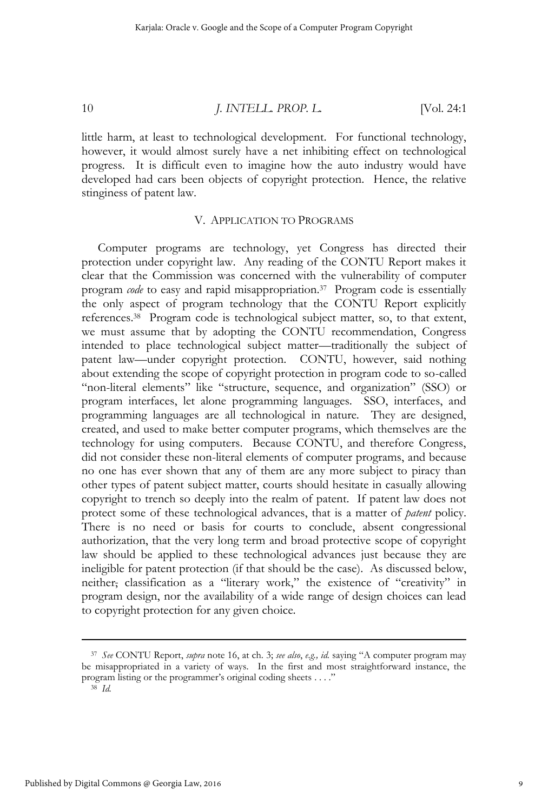little harm, at least to technological development. For functional technology, however, it would almost surely have a net inhibiting effect on technological progress. It is difficult even to imagine how the auto industry would have developed had cars been objects of copyright protection. Hence, the relative stinginess of patent law.

#### V. APPLICATION TO PROGRAMS

Computer programs are technology, yet Congress has directed their protection under copyright law. Any reading of the CONTU Report makes it clear that the Commission was concerned with the vulnerability of computer program *code* to easy and rapid misappropriation.37 Program code is essentially the only aspect of program technology that the CONTU Report explicitly references.38 Program code is technological subject matter, so, to that extent, we must assume that by adopting the CONTU recommendation, Congress intended to place technological subject matter—traditionally the subject of patent law—under copyright protection. CONTU, however, said nothing about extending the scope of copyright protection in program code to so-called "non-literal elements" like "structure, sequence, and organization" (SSO) or program interfaces, let alone programming languages. SSO, interfaces, and programming languages are all technological in nature. They are designed, created, and used to make better computer programs, which themselves are the technology for using computers. Because CONTU, and therefore Congress, did not consider these non-literal elements of computer programs, and because no one has ever shown that any of them are any more subject to piracy than other types of patent subject matter, courts should hesitate in casually allowing copyright to trench so deeply into the realm of patent. If patent law does not protect some of these technological advances, that is a matter of *patent* policy. There is no need or basis for courts to conclude, absent congressional authorization, that the very long term and broad protective scope of copyright law should be applied to these technological advances just because they are ineligible for patent protection (if that should be the case). As discussed below, neither, classification as a "literary work," the existence of "creativity" in program design, nor the availability of a wide range of design choices can lead to copyright protection for any given choice.

<sup>38</sup> *Id.* 

<sup>37</sup> *See* CONTU Report, *supra* note 16, at ch. 3; *see also*, *e.g., id.* saying "A computer program may be misappropriated in a variety of ways. In the first and most straightforward instance, the program listing or the programmer's original coding sheets . . . ."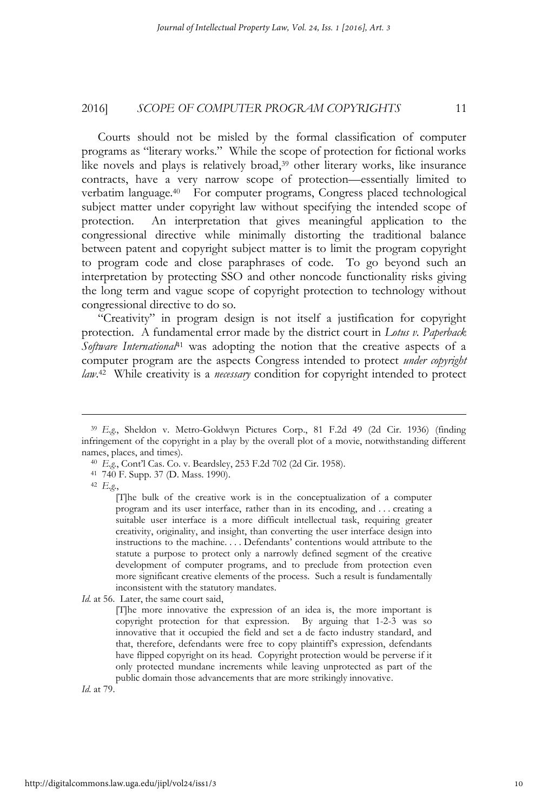Courts should not be misled by the formal classification of computer programs as "literary works." While the scope of protection for fictional works like novels and plays is relatively broad,<sup>39</sup> other literary works, like insurance contracts, have a very narrow scope of protection—essentially limited to verbatim language.<sup>40</sup> For computer programs, Congress placed technological subject matter under copyright law without specifying the intended scope of protection. An interpretation that gives meaningful application to the congressional directive while minimally distorting the traditional balance between patent and copyright subject matter is to limit the program copyright to program code and close paraphrases of code. To go beyond such an interpretation by protecting SSO and other noncode functionality risks giving the long term and vague scope of copyright protection to technology without congressional directive to do so.

"Creativity" in program design is not itself a justification for copyright protection. A fundamental error made by the district court in *Lotus v. Paperback Software International*41 was adopting the notion that the creative aspects of a computer program are the aspects Congress intended to protect *under copyright law*. 42 While creativity is a *necessary* condition for copyright intended to protect

 $\overline{a}$ 

*Id*. at 79.

<sup>39</sup> *E.g.*, Sheldon v. Metro-Goldwyn Pictures Corp., 81 F.2d 49 (2d Cir. 1936) (finding infringement of the copyright in a play by the overall plot of a movie, notwithstanding different names, places, and times).<br><sup>40</sup> *E.g.*, Cont'l Cas. Co. v. Beardsley, 253 F.2d 702 (2d Cir. 1958).<br><sup>41</sup> <sup>7</sup>40 F. Supp. 37 (D. Mass. 1990).

<sup>42</sup> *E.g.*,

<sup>[</sup>T]he bulk of the creative work is in the conceptualization of a computer program and its user interface, rather than in its encoding, and . . . creating a suitable user interface is a more difficult intellectual task, requiring greater creativity, originality, and insight, than converting the user interface design into instructions to the machine. . . . Defendants' contentions would attribute to the statute a purpose to protect only a narrowly defined segment of the creative development of computer programs, and to preclude from protection even more significant creative elements of the process. Such a result is fundamentally inconsistent with the statutory mandates.

*Id*. at 56. Later, the same court said,

<sup>[</sup>T]he more innovative the expression of an idea is, the more important is copyright protection for that expression. By arguing that 1-2-3 was so innovative that it occupied the field and set a de facto industry standard, and that, therefore, defendants were free to copy plaintiff's expression, defendants have flipped copyright on its head. Copyright protection would be perverse if it only protected mundane increments while leaving unprotected as part of the public domain those advancements that are more strikingly innovative.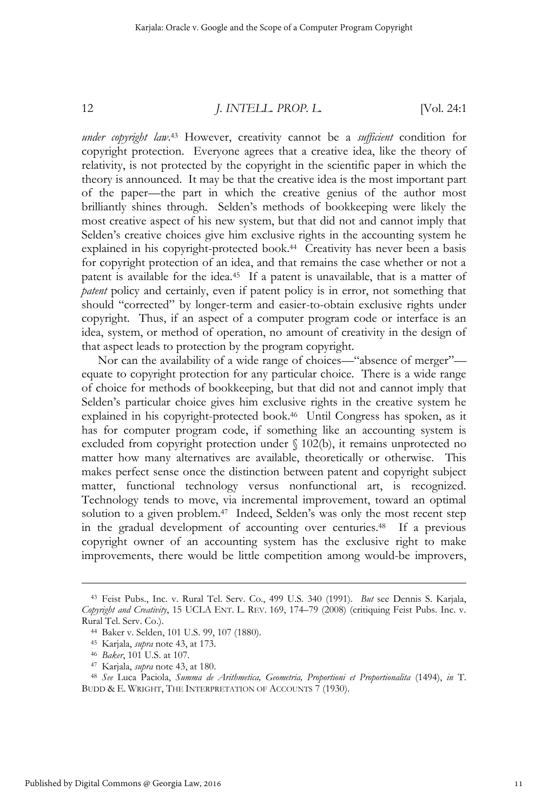*under copyright law*. 43 However, creativity cannot be a *sufficient* condition for copyright protection. Everyone agrees that a creative idea, like the theory of relativity, is not protected by the copyright in the scientific paper in which the theory is announced. It may be that the creative idea is the most important part of the paper—the part in which the creative genius of the author most brilliantly shines through. Selden's methods of bookkeeping were likely the most creative aspect of his new system, but that did not and cannot imply that Selden's creative choices give him exclusive rights in the accounting system he explained in his copyright-protected book.<sup>44</sup> Creativity has never been a basis for copyright protection of an idea, and that remains the case whether or not a patent is available for the idea.45 If a patent is unavailable, that is a matter of *patent* policy and certainly, even if patent policy is in error, not something that should "corrected" by longer-term and easier-to-obtain exclusive rights under copyright. Thus, if an aspect of a computer program code or interface is an idea, system, or method of operation, no amount of creativity in the design of that aspect leads to protection by the program copyright.

Nor can the availability of a wide range of choices—"absence of merger" equate to copyright protection for any particular choice. There is a wide range of choice for methods of bookkeeping, but that did not and cannot imply that Selden's particular choice gives him exclusive rights in the creative system he explained in his copyright-protected book.46 Until Congress has spoken, as it has for computer program code, if something like an accounting system is excluded from copyright protection under § 102(b), it remains unprotected no matter how many alternatives are available, theoretically or otherwise. This makes perfect sense once the distinction between patent and copyright subject matter, functional technology versus nonfunctional art, is recognized. Technology tends to move, via incremental improvement, toward an optimal solution to a given problem.<sup>47</sup> Indeed, Selden's was only the most recent step in the gradual development of accounting over centuries.48 If a previous copyright owner of an accounting system has the exclusive right to make improvements, there would be little competition among would-be improvers,

<sup>43</sup> Feist Pubs., Inc. v. Rural Tel. Serv. Co., 499 U.S. 340 (1991). *But* see Dennis S. Karjala, *Copyright and Creativity*, 15 UCLA ENT. L. REV. 169, 174–79 (2008) (critiquing Feist Pubs. Inc. v. Rural Tel. Serv. Co.). 44 Baker v. Selden, 101 U.S. 99, 107 (1880).

<sup>&</sup>lt;sup>45</sup> Karjala, *supra* note 43, at 173.<br><sup>46</sup> Baker, 101 U.S. at 107.<br><sup>47</sup> Karjala, *supra* note 43, at 180.<br><sup>48</sup> See Luca Paciola, *Summa de Arithmetica, Geometria, Proportioni et Proportionalita* (1494), *in* T. BUDD & E. WRIGHT, THE INTERPRETATION OF ACCOUNTS 7 (1930).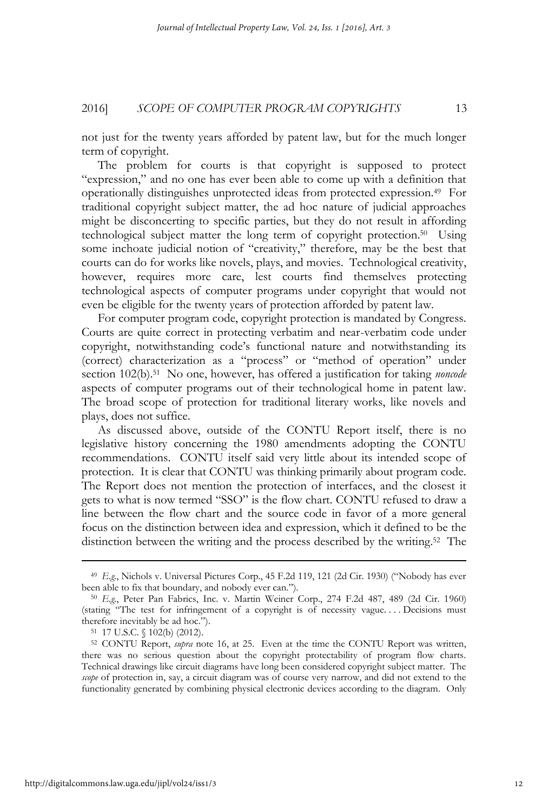not just for the twenty years afforded by patent law, but for the much longer term of copyright.

The problem for courts is that copyright is supposed to protect "expression," and no one has ever been able to come up with a definition that operationally distinguishes unprotected ideas from protected expression.49 For traditional copyright subject matter, the ad hoc nature of judicial approaches might be disconcerting to specific parties, but they do not result in affording technological subject matter the long term of copyright protection.50 Using some inchoate judicial notion of "creativity," therefore, may be the best that courts can do for works like novels, plays, and movies. Technological creativity, however, requires more care, lest courts find themselves protecting technological aspects of computer programs under copyright that would not even be eligible for the twenty years of protection afforded by patent law.

For computer program code, copyright protection is mandated by Congress. Courts are quite correct in protecting verbatim and near-verbatim code under copyright, notwithstanding code's functional nature and notwithstanding its (correct) characterization as a "process" or "method of operation" under section 102(b).51 No one, however, has offered a justification for taking *noncode* aspects of computer programs out of their technological home in patent law. The broad scope of protection for traditional literary works, like novels and plays, does not suffice.

As discussed above, outside of the CONTU Report itself, there is no legislative history concerning the 1980 amendments adopting the CONTU recommendations. CONTU itself said very little about its intended scope of protection. It is clear that CONTU was thinking primarily about program code. The Report does not mention the protection of interfaces, and the closest it gets to what is now termed "SSO" is the flow chart. CONTU refused to draw a line between the flow chart and the source code in favor of a more general focus on the distinction between idea and expression, which it defined to be the distinction between the writing and the process described by the writing.52 The

<sup>49</sup> *E.g.*, Nichols v. Universal Pictures Corp., 45 F.2d 119, 121 (2d Cir. 1930) ("Nobody has ever been able to fix that boundary, and nobody ever can."). 50 *E.g.*, Peter Pan Fabrics, Inc. v. Martin Weiner Corp., 274 F.2d 487, 489 (2d Cir. 1960)

<sup>(</sup>stating "The test for infringement of a copyright is of necessity vague. . . . Decisions must therefore inevitably be ad hoc.").<br> $51 \quad 17 \text{ U.S.C. } \{(102 \text{b}) \ (2012)\}.$ 

<sup>52</sup> CONTU Report, *supra* note 16, at 25. Even at the time the CONTU Report was written, there was no serious question about the copyright protectability of program flow charts. Technical drawings like circuit diagrams have long been considered copyright subject matter. The *scope* of protection in, say, a circuit diagram was of course very narrow, and did not extend to the functionality generated by combining physical electronic devices according to the diagram. Only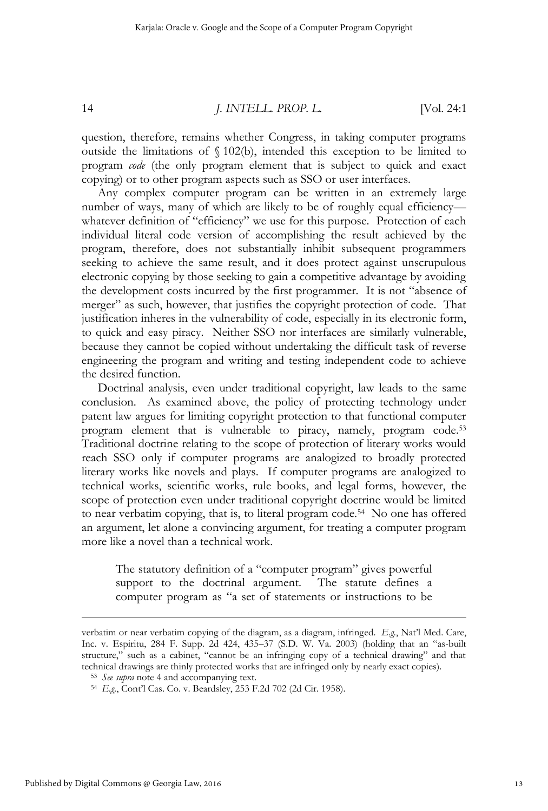question, therefore, remains whether Congress, in taking computer programs outside the limitations of § 102(b), intended this exception to be limited to program *code* (the only program element that is subject to quick and exact copying) or to other program aspects such as SSO or user interfaces.

Any complex computer program can be written in an extremely large number of ways, many of which are likely to be of roughly equal efficiency whatever definition of "efficiency" we use for this purpose. Protection of each individual literal code version of accomplishing the result achieved by the program, therefore, does not substantially inhibit subsequent programmers seeking to achieve the same result, and it does protect against unscrupulous electronic copying by those seeking to gain a competitive advantage by avoiding the development costs incurred by the first programmer. It is not "absence of merger" as such, however, that justifies the copyright protection of code. That justification inheres in the vulnerability of code, especially in its electronic form, to quick and easy piracy. Neither SSO nor interfaces are similarly vulnerable, because they cannot be copied without undertaking the difficult task of reverse engineering the program and writing and testing independent code to achieve the desired function.

Doctrinal analysis, even under traditional copyright, law leads to the same conclusion. As examined above, the policy of protecting technology under patent law argues for limiting copyright protection to that functional computer program element that is vulnerable to piracy, namely, program code.<sup>53</sup> Traditional doctrine relating to the scope of protection of literary works would reach SSO only if computer programs are analogized to broadly protected literary works like novels and plays. If computer programs are analogized to technical works, scientific works, rule books, and legal forms, however, the scope of protection even under traditional copyright doctrine would be limited to near verbatim copying, that is, to literal program code.<sup>54</sup> No one has offered an argument, let alone a convincing argument, for treating a computer program more like a novel than a technical work.

The statutory definition of a "computer program" gives powerful support to the doctrinal argument. The statute defines a computer program as "a set of statements or instructions to be

verbatim or near verbatim copying of the diagram, as a diagram, infringed. *E.g.*, Nat'l Med. Care, Inc. v. Espiritu, 284 F. Supp. 2d 424, 435–37 (S.D. W. Va. 2003) (holding that an "as-built structure," such as a cabinet, "cannot be an infringing copy of a technical drawing" and that technical drawings are thinly protected works that are infringed only by nearly exact copies). 53 *See supra* note 4 and accompanying text.

<sup>54</sup> *E.g.*, Cont'l Cas. Co. v. Beardsley, 253 F.2d 702 (2d Cir. 1958).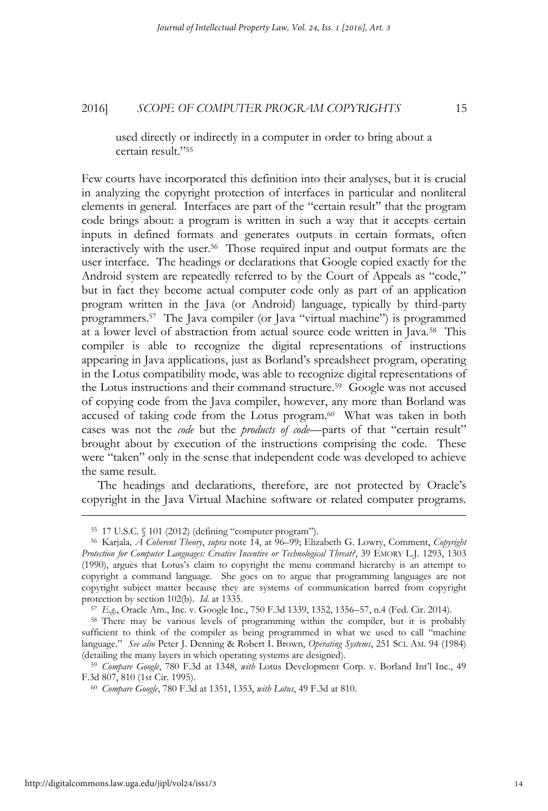used directly or indirectly in a computer in order to bring about a certain result."55

Few courts have incorporated this definition into their analyses, but it is crucial in analyzing the copyright protection of interfaces in particular and nonliteral elements in general. Interfaces are part of the "certain result" that the program code brings about: a program is written in such a way that it accepts certain inputs in defined formats and generates outputs in certain formats, often interactively with the user.56 Those required input and output formats are the user interface. The headings or declarations that Google copied exactly for the Android system are repeatedly referred to by the Court of Appeals as "code," but in fact they become actual computer code only as part of an application program written in the Java (or Android) language, typically by third-party programmers.57 The Java compiler (or Java "virtual machine") is programmed at a lower level of abstraction from actual source code written in Java.58 This compiler is able to recognize the digital representations of instructions appearing in Java applications, just as Borland's spreadsheet program, operating in the Lotus compatibility mode, was able to recognize digital representations of the Lotus instructions and their command structure.59 Google was not accused of copying code from the Java compiler, however, any more than Borland was accused of taking code from the Lotus program.<sup>60</sup> What was taken in both cases was not the *code* but the *products of code*—parts of that "certain result" brought about by execution of the instructions comprising the code. These were "taken" only in the sense that independent code was developed to achieve the same result.

The headings and declarations, therefore, are not protected by Oracle's copyright in the Java Virtual Machine software or related computer programs.

<sup>55 17</sup> U.S.C. § 101 (2012) (defining "computer program"). 56 Karjala*, A Coherent Theory*, *supra* note 14, at 96–99; Elizabeth G. Lowry, Comment, *Copyright Protection for Computer Languages: Creative Incentive or Technological Threat?*, 39 EMORY L.J. 1293, 1303 (1990), argues that Lotus's claim to copyright the menu command hierarchy is an attempt to copyright a command language. She goes on to argue that programming languages are not copyright subject matter because they are systems of communication barred from copyright protection by section 102(b). *Id.* at 1335.<br><sup>57</sup> E.g., Oracle Am., Inc. v. Google Inc., 750 F.3d 1339, 1352, 1356–57, n.4 (Fed. Cir. 2014).<br><sup>58</sup> There may be various levels of programming within the compiler, but it is pr

sufficient to think of the compiler as being programmed in what we used to call "machine language." *See also* Peter J. Denning & Robert L Brown, *Operating Systems*, 251 SCI. AM. 94 (1984) (detailing the many layers in which operating systems are designed). 59 *Compare Google*, 780 F.3d at 1348, *with* Lotus Development Corp. v. Borland Int'l Inc., 49

F.3d 807, 810 (1st Cir. 1995). 60 *Compare Google*, 780 F.3d at 1351, 1353, *with Lotus*, 49 F.3d at 810.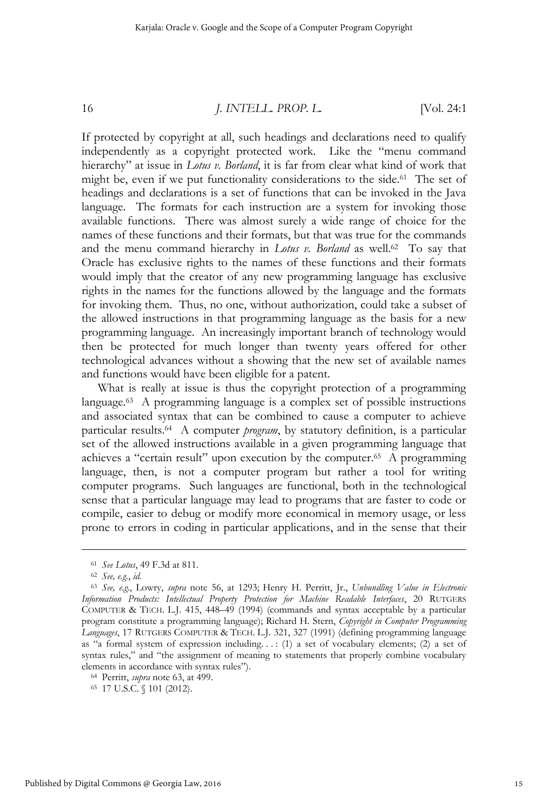If protected by copyright at all, such headings and declarations need to qualify independently as a copyright protected work. Like the "menu command hierarchy" at issue in *Lotus v. Borland*, it is far from clear what kind of work that might be, even if we put functionality considerations to the side.<sup>61</sup> The set of headings and declarations is a set of functions that can be invoked in the Java language. The formats for each instruction are a system for invoking those available functions. There was almost surely a wide range of choice for the names of these functions and their formats, but that was true for the commands and the menu command hierarchy in *Lotus v. Borland* as well.<sup>62</sup> To say that Oracle has exclusive rights to the names of these functions and their formats would imply that the creator of any new programming language has exclusive rights in the names for the functions allowed by the language and the formats for invoking them. Thus, no one, without authorization, could take a subset of the allowed instructions in that programming language as the basis for a new programming language. An increasingly important branch of technology would then be protected for much longer than twenty years offered for other technological advances without a showing that the new set of available names and functions would have been eligible for a patent.

What is really at issue is thus the copyright protection of a programming language.<sup>63</sup> A programming language is a complex set of possible instructions and associated syntax that can be combined to cause a computer to achieve particular results.64 A computer *program*, by statutory definition, is a particular set of the allowed instructions available in a given programming language that achieves a "certain result" upon execution by the computer.65 A programming language, then, is not a computer program but rather a tool for writing computer programs. Such languages are functional, both in the technological sense that a particular language may lead to programs that are faster to code or compile, easier to debug or modify more economical in memory usage, or less prone to errors in coding in particular applications, and in the sense that their

<sup>61</sup> *See Lotus*, 49 F.3d at 811. 62 *See, e.g.*, *id.*

<sup>63</sup> *See, e.g.*, Lowry, *supra* note 56, at 1293; Henry H. Perritt, Jr., *Unbundling Value in Electronic Information Products: Intellectual Property Protection for Machine Readable Interfaces*, 20 RUTGERS COMPUTER & TECH. L.J. 415, 448–49 (1994) (commands and syntax acceptable by a particular program constitute a programming language); Richard H. Stern, *Copyright in Computer Programming Languages*, 17 RUTGERS COMPUTER & TECH. L.J. 321, 327 (1991) (defining programming language as "a formal system of expression including...: (1) a set of vocabulary elements; (2) a set of syntax rules," and "the assignment of meaning to statements that properly combine vocabulary elements in accordance with syntax rules").<br><sup>64</sup> Perritt, *supra* note 63, at 499.<br><sup>65</sup> 17 U.S.C. § 101 (2012).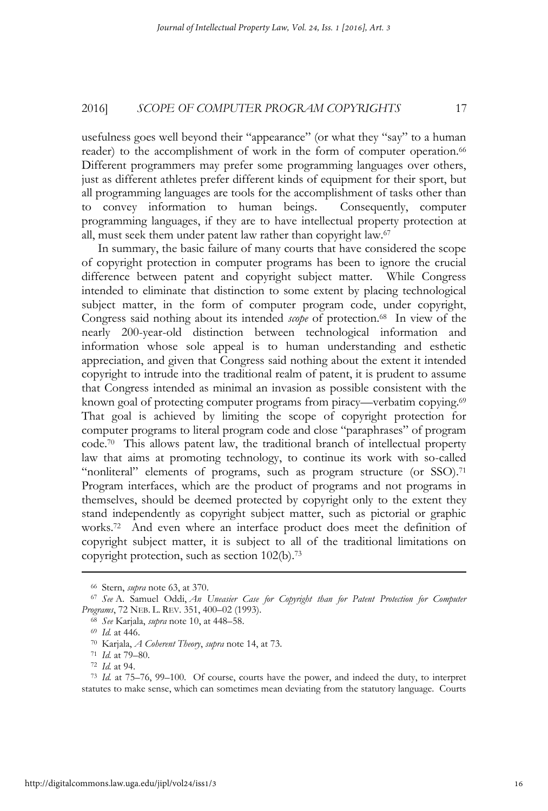usefulness goes well beyond their "appearance" (or what they "say" to a human reader) to the accomplishment of work in the form of computer operation.<sup>66</sup> Different programmers may prefer some programming languages over others, just as different athletes prefer different kinds of equipment for their sport, but all programming languages are tools for the accomplishment of tasks other than to convey information to human beings. Consequently, computer programming languages, if they are to have intellectual property protection at all, must seek them under patent law rather than copyright law.67

In summary, the basic failure of many courts that have considered the scope of copyright protection in computer programs has been to ignore the crucial difference between patent and copyright subject matter. While Congress intended to eliminate that distinction to some extent by placing technological subject matter, in the form of computer program code, under copyright, Congress said nothing about its intended *scope* of protection.<sup>68</sup> In view of the nearly 200-year-old distinction between technological information and information whose sole appeal is to human understanding and esthetic appreciation, and given that Congress said nothing about the extent it intended copyright to intrude into the traditional realm of patent, it is prudent to assume that Congress intended as minimal an invasion as possible consistent with the known goal of protecting computer programs from piracy—verbatim copying.<sup>69</sup> That goal is achieved by limiting the scope of copyright protection for computer programs to literal program code and close "paraphrases" of program code.70 This allows patent law, the traditional branch of intellectual property law that aims at promoting technology, to continue its work with so-called "nonliteral" elements of programs, such as program structure (or SSO).<sup>71</sup> Program interfaces, which are the product of programs and not programs in themselves, should be deemed protected by copyright only to the extent they stand independently as copyright subject matter, such as pictorial or graphic works.72 And even where an interface product does meet the definition of copyright subject matter, it is subject to all of the traditional limitations on copyright protection, such as section 102(b).73

<sup>66</sup> Stern, *supra* note 63, at 370. 67 *See* A. Samuel Oddi, *An Uneasier Case for Copyright than for Patent Protection for Computer* 

<sup>&</sup>lt;sup>68</sup> *See* Karjala, *supra* note 10, at 448–58.<br><sup>69</sup> *Id.* at 446.<br><sup>70</sup> Karjala, *A Coberent Theory, supra* note 14, at 73.<br><sup>71</sup> *Id.* at 79–80.<br><sup>72</sup> *Id.* at 94.<br><sup>73</sup> *Id.* at 75–76, 99–100. Of course, courts have the pow statutes to make sense, which can sometimes mean deviating from the statutory language. Courts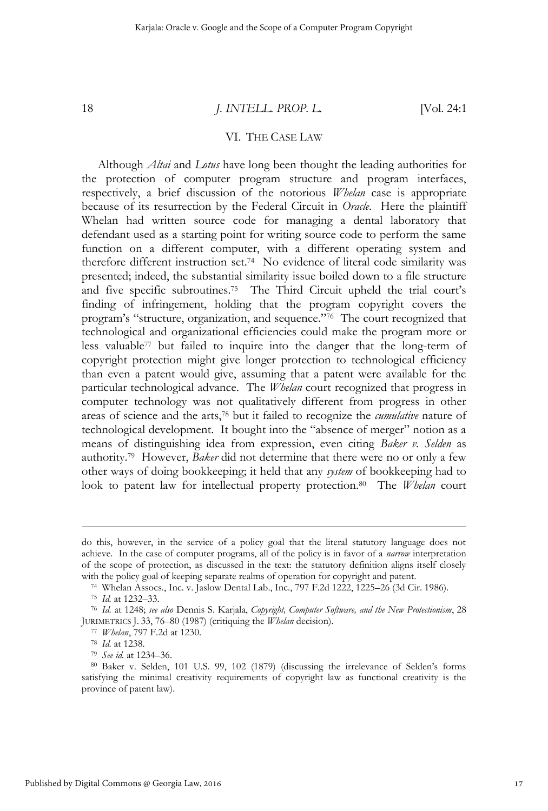#### VI. THE CASE LAW

Although *Altai* and *Lotus* have long been thought the leading authorities for the protection of computer program structure and program interfaces, respectively, a brief discussion of the notorious *Whelan* case is appropriate because of its resurrection by the Federal Circuit in *Oracle*. Here the plaintiff Whelan had written source code for managing a dental laboratory that defendant used as a starting point for writing source code to perform the same function on a different computer, with a different operating system and therefore different instruction set.74 No evidence of literal code similarity was presented; indeed, the substantial similarity issue boiled down to a file structure and five specific subroutines.75 The Third Circuit upheld the trial court's finding of infringement, holding that the program copyright covers the program's "structure, organization, and sequence."76 The court recognized that technological and organizational efficiencies could make the program more or less valuable77 but failed to inquire into the danger that the long-term of copyright protection might give longer protection to technological efficiency than even a patent would give, assuming that a patent were available for the particular technological advance. The *Whelan* court recognized that progress in computer technology was not qualitatively different from progress in other areas of science and the arts,78 but it failed to recognize the *cumulative* nature of technological development. It bought into the "absence of merger" notion as a means of distinguishing idea from expression, even citing *Baker v. Selden* as authority.79 However, *Baker* did not determine that there were no or only a few other ways of doing bookkeeping; it held that any *system* of bookkeeping had to look to patent law for intellectual property protection.80 The *Whelan* court

do this, however, in the service of a policy goal that the literal statutory language does not achieve. In the case of computer programs, all of the policy is in favor of a *narrow* interpretation of the scope of protection, as discussed in the text: the statutory definition aligns itself closely

with the policy goal of keeping separate realms of operation for copyright and patent.<br><sup>74</sup> Whelan Assocs., Inc. v. Jaslow Dental Lab., Inc., 797 F.2d 1222, 1225–26 (3d Cir. 1986).<br><sup>75</sup> Id. at 1232–33.<br><sup>76</sup> Id. at 1248; *s* 

JURIMETRICS J. 33, 76–80 (1987) (critiquing the *Whelan* decision).<br><sup>77</sup> *Whelan*, 797 F.2d at 1230.<br><sup>78</sup> *Id.* at 1238.<br><sup>79</sup> *See id.* at 1234–36.<br><sup>80</sup> Baker v. Selden, 101 U.S. 99, 102 (1879) (discussing the irrelevance satisfying the minimal creativity requirements of copyright law as functional creativity is the province of patent law).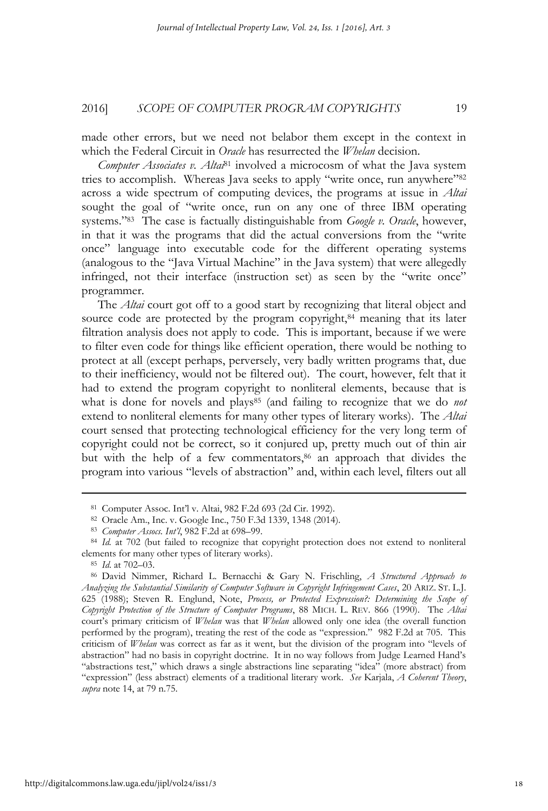made other errors, but we need not belabor them except in the context in which the Federal Circuit in *Oracle* has resurrected the *Whelan* decision.

*Computer Associates v. Altai*81 involved a microcosm of what the Java system tries to accomplish. Whereas Java seeks to apply "write once, run anywhere"82 across a wide spectrum of computing devices, the programs at issue in *Altai* sought the goal of "write once, run on any one of three IBM operating systems."83 The case is factually distinguishable from *Google v. Oracle*, however, in that it was the programs that did the actual conversions from the "write once" language into executable code for the different operating systems (analogous to the "Java Virtual Machine" in the Java system) that were allegedly infringed, not their interface (instruction set) as seen by the "write once" programmer.

The *Altai* court got off to a good start by recognizing that literal object and source code are protected by the program copyright,<sup>84</sup> meaning that its later filtration analysis does not apply to code. This is important, because if we were to filter even code for things like efficient operation, there would be nothing to protect at all (except perhaps, perversely, very badly written programs that, due to their inefficiency, would not be filtered out). The court, however, felt that it had to extend the program copyright to nonliteral elements, because that is what is done for novels and plays<sup>85</sup> (and failing to recognize that we do *not* extend to nonliteral elements for many other types of literary works). The *Altai* court sensed that protecting technological efficiency for the very long term of copyright could not be correct, so it conjured up, pretty much out of thin air but with the help of a few commentators,<sup>86</sup> an approach that divides the program into various "levels of abstraction" and, within each level, filters out all

<sup>81</sup> Computer Assoc. Int'l v. Altai, 982 F.2d 693 (2d Cir. 1992). 82 Oracle Am., Inc. v. Google Inc., 750 F.3d 1339, 1348 (2014). 83 *Computer Assocs. Int'l*, 982 F.2d at 698–99.

<sup>&</sup>lt;sup>84</sup> *Id.* at 702 (but failed to recognize that copyright protection does not extend to nonliteral elements for many other types of literary works).<br><sup>85</sup> *Id.* at 702–03.<br><sup>86</sup> David Nimmer, Richard L. Bernacchi & Gary N. Frischling, *A Structured Approach to* 

*Analyzing the Substantial Similarity of Computer Software in Copyright Infringement Cases*, 20 ARIZ. ST. L.J. 625 (1988); Steven R. Englund, Note, *Process, or Protected Expression?: Determining the Scope of Copyright Protection of the Structure of Computer Programs*, 88 MICH. L. REV. 866 (1990). The *Altai* court's primary criticism of *Whelan* was that *Whelan* allowed only one idea (the overall function performed by the program), treating the rest of the code as "expression." 982 F.2d at 705. This criticism of *Whelan* was correct as far as it went, but the division of the program into "levels of abstraction" had no basis in copyright doctrine. It in no way follows from Judge Learned Hand's "abstractions test," which draws a single abstractions line separating "idea" (more abstract) from "expression" (less abstract) elements of a traditional literary work. *See* Karjala, *A Coherent Theory*, *supra* note 14, at 79 n.75.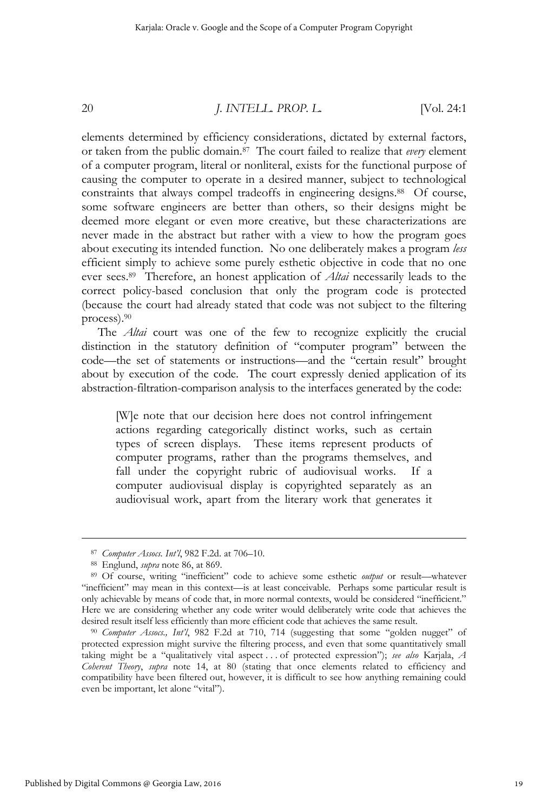elements determined by efficiency considerations, dictated by external factors, or taken from the public domain.87 The court failed to realize that *every* element of a computer program, literal or nonliteral, exists for the functional purpose of causing the computer to operate in a desired manner, subject to technological constraints that always compel tradeoffs in engineering designs.<sup>88</sup> Of course, some software engineers are better than others, so their designs might be deemed more elegant or even more creative, but these characterizations are never made in the abstract but rather with a view to how the program goes about executing its intended function. No one deliberately makes a program *less* efficient simply to achieve some purely esthetic objective in code that no one ever sees.89 Therefore, an honest application of *Altai* necessarily leads to the correct policy-based conclusion that only the program code is protected (because the court had already stated that code was not subject to the filtering process).90

The *Altai* court was one of the few to recognize explicitly the crucial distinction in the statutory definition of "computer program" between the code—the set of statements or instructions—and the "certain result" brought about by execution of the code. The court expressly denied application of its abstraction-filtration-comparison analysis to the interfaces generated by the code:

[W]e note that our decision here does not control infringement actions regarding categorically distinct works, such as certain types of screen displays. These items represent products of computer programs, rather than the programs themselves, and fall under the copyright rubric of audiovisual works. If a computer audiovisual display is copyrighted separately as an audiovisual work, apart from the literary work that generates it

<sup>87</sup> *Computer Assocs. Int'l*, 982 F.2d. at 706–10. 88 Englund, *supra* note 86, at 869. 89 Of course, writing "inefficient" code to achieve some esthetic *output* or result—whatever "inefficient" may mean in this context—is at least conceivable. Perhaps some particular result is only achievable by means of code that, in more normal contexts, would be considered "inefficient." Here we are considering whether any code writer would deliberately write code that achieves the desired result itself less efficiently than more efficient code that achieves the same result.<br><sup>90</sup> *Computer Assocs., Int'l*, 982 F.2d at 710, 714 (suggesting that some "golden nugget" of

protected expression might survive the filtering process, and even that some quantitatively small taking might be a "qualitatively vital aspect . . . of protected expression"); *see also* Karjala, *A Coherent Theory*, *supra* note 14, at 80 (stating that once elements related to efficiency and compatibility have been filtered out, however, it is difficult to see how anything remaining could even be important, let alone "vital").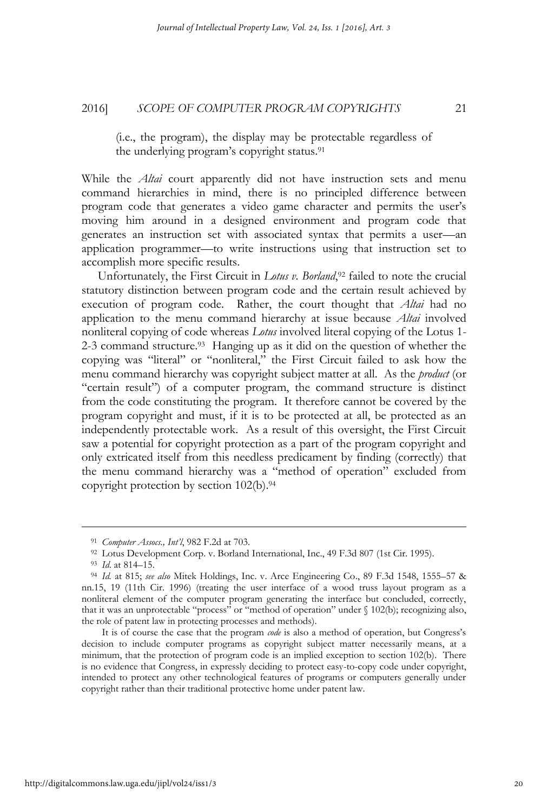(i.e., the program), the display may be protectable regardless of the underlying program's copyright status.91

While the *Altai* court apparently did not have instruction sets and menu command hierarchies in mind, there is no principled difference between program code that generates a video game character and permits the user's moving him around in a designed environment and program code that generates an instruction set with associated syntax that permits a user—an application programmer—to write instructions using that instruction set to accomplish more specific results.

Unfortunately, the First Circuit in *Lotus v. Borland*,<sup>92</sup> failed to note the crucial statutory distinction between program code and the certain result achieved by execution of program code. Rather, the court thought that *Altai* had no application to the menu command hierarchy at issue because *Altai* involved nonliteral copying of code whereas *Lotus* involved literal copying of the Lotus 1- 2-3 command structure.93 Hanging up as it did on the question of whether the copying was "literal" or "nonliteral," the First Circuit failed to ask how the menu command hierarchy was copyright subject matter at all. As the *product* (or "certain result") of a computer program, the command structure is distinct from the code constituting the program. It therefore cannot be covered by the program copyright and must, if it is to be protected at all, be protected as an independently protectable work. As a result of this oversight, the First Circuit saw a potential for copyright protection as a part of the program copyright and only extricated itself from this needless predicament by finding (correctly) that the menu command hierarchy was a "method of operation" excluded from copyright protection by section  $102(b)$ .<sup>94</sup>

<sup>&</sup>lt;sup>91</sup> Computer Assocs., Int'l, 982 F.2d at 703.<br><sup>92</sup> Lotus Development Corp. v. Borland International, Inc., 49 F.3d 807 (1st Cir. 1995).<br><sup>93</sup> Id. at 814–15.<br><sup>94</sup> Id. at 815; *see also* Mitek Holdings, Inc. v. Arce Engineer nn.15, 19 (11th Cir. 1996) (treating the user interface of a wood truss layout program as a nonliteral element of the computer program generating the interface but concluded, correctly, that it was an unprotectable "process" or "method of operation" under § 102(b); recognizing also, the role of patent law in protecting processes and methods).

It is of course the case that the program *code* is also a method of operation, but Congress's decision to include computer programs as copyright subject matter necessarily means, at a minimum, that the protection of program code is an implied exception to section 102(b). There is no evidence that Congress, in expressly deciding to protect easy-to-copy code under copyright, intended to protect any other technological features of programs or computers generally under copyright rather than their traditional protective home under patent law.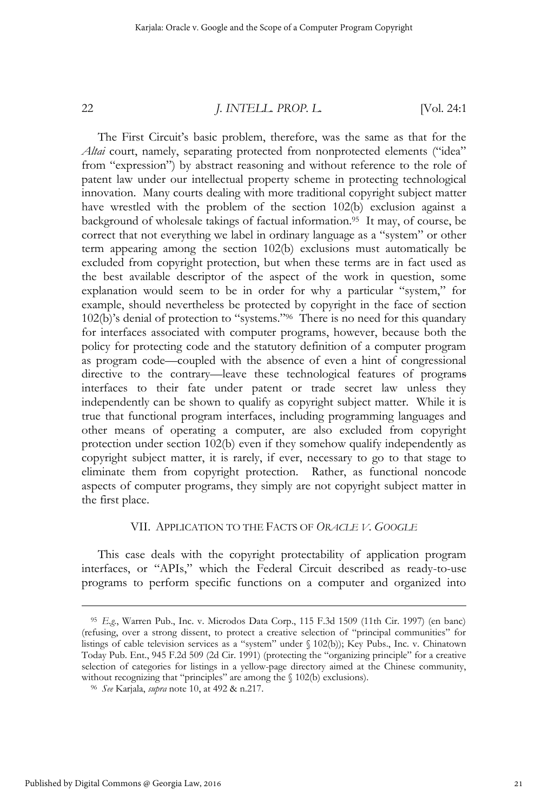The First Circuit's basic problem, therefore, was the same as that for the Altai court, namely, separating protected from nonprotected elements ("idea" from "expression") by abstract reasoning and without reference to the role of patent law under our intellectual property scheme in protecting technological innovation. Many courts dealing with more traditional copyright subject matter have wrestled with the problem of the section 102(b) exclusion against a background of wholesale takings of factual information.95 It may, of course, be correct that not everything we label in ordinary language as a "system" or other term appearing among the section 102(b) exclusions must automatically be excluded from copyright protection, but when these terms are in fact used as the best available descriptor of the aspect of the work in question, some explanation would seem to be in order for why a particular "system," for example, should nevertheless be protected by copyright in the face of section 102(b)'s denial of protection to "systems."96 There is no need for this quandary for interfaces associated with computer programs, however, because both the policy for protecting code and the statutory definition of a computer program as program code—coupled with the absence of even a hint of congressional directive to the contrary—leave these technological features of programs interfaces to their fate under patent or trade secret law unless they independently can be shown to qualify as copyright subject matter. While it is true that functional program interfaces, including programming languages and other means of operating a computer, are also excluded from copyright protection under section 102(b) even if they somehow qualify independently as copyright subject matter, it is rarely, if ever, necessary to go to that stage to eliminate them from copyright protection. Rather, as functional noncode aspects of computer programs, they simply are not copyright subject matter in the first place.

#### VII. APPLICATION TO THE FACTS OF *ORACLE V. GOOGLE*

This case deals with the copyright protectability of application program interfaces, or "APIs," which the Federal Circuit described as ready-to-use programs to perform specific functions on a computer and organized into

<sup>95</sup> *E.g.*, Warren Pub., Inc. v. Microdos Data Corp., 115 F.3d 1509 (11th Cir. 1997) (en banc) (refusing, over a strong dissent, to protect a creative selection of "principal communities" for listings of cable television services as a "system" under § 102(b)); Key Pubs., Inc. v. Chinatown Today Pub. Ent., 945 F.2d 509 (2d Cir. 1991) (protecting the "organizing principle" for a creative selection of categories for listings in a yellow-page directory aimed at the Chinese community, without recognizing that "principles" are among the § 102(b) exclusions). 96 *See* Karjala, *supra* note 10, at 492 & n.217.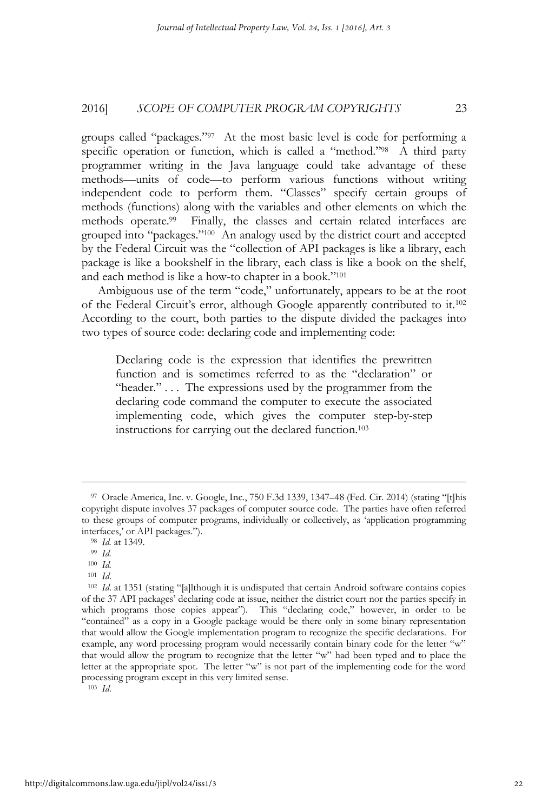groups called "packages."97 At the most basic level is code for performing a specific operation or function, which is called a "method."<sup>98</sup> A third party programmer writing in the Java language could take advantage of these methods—units of code—to perform various functions without writing independent code to perform them. "Classes" specify certain groups of methods (functions) along with the variables and other elements on which the methods operate.99 Finally, the classes and certain related interfaces are grouped into "packages."100 An analogy used by the district court and accepted by the Federal Circuit was the "collection of API packages is like a library, each package is like a bookshelf in the library, each class is like a book on the shelf, and each method is like a how-to chapter in a book."101

Ambiguous use of the term "code," unfortunately, appears to be at the root of the Federal Circuit's error, although Google apparently contributed to it.102 According to the court, both parties to the dispute divided the packages into two types of source code: declaring code and implementing code:

Declaring code is the expression that identifies the prewritten function and is sometimes referred to as the "declaration" or "header." . . . The expressions used by the programmer from the declaring code command the computer to execute the associated implementing code, which gives the computer step-by-step instructions for carrying out the declared function.103

<sup>97</sup> Oracle America, Inc. v. Google, Inc., 750 F.3d 1339, 1347–48 (Fed. Cir. 2014) (stating "[t]his copyright dispute involves 37 packages of computer source code. The parties have often referred to these groups of computer programs, individually or collectively, as 'application programming interfaces,' or API packages."). 98 *Id.* at 1349. 99 *Id.*

<sup>100</sup> *Id.* 

<sup>&</sup>lt;sup>102</sup> *Id.* at 1351 (stating "[a]lthough it is undisputed that certain Android software contains copies of the 37 API packages' declaring code at issue, neither the district court nor the parties specify in which programs those copies appear"). This "declaring code," however, in order to be "contained" as a copy in a Google package would be there only in some binary representation that would allow the Google implementation program to recognize the specific declarations. For example, any word processing program would necessarily contain binary code for the letter "w" that would allow the program to recognize that the letter "w" had been typed and to place the letter at the appropriate spot. The letter "w" is not part of the implementing code for the word processing program except in this very limited sense. 103 *Id*.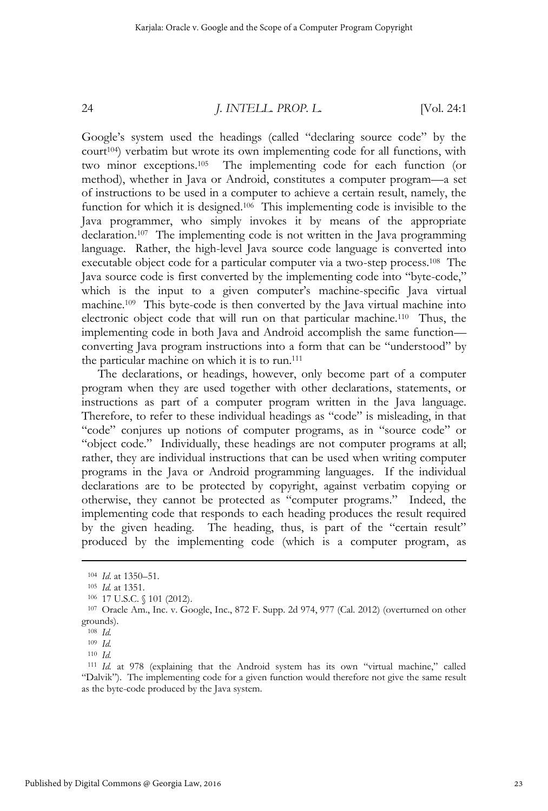Google's system used the headings (called "declaring source code" by the court104) verbatim but wrote its own implementing code for all functions, with two minor exceptions.105 The implementing code for each function (or method), whether in Java or Android, constitutes a computer program—a set of instructions to be used in a computer to achieve a certain result, namely, the function for which it is designed.<sup>106</sup> This implementing code is invisible to the Java programmer, who simply invokes it by means of the appropriate declaration.107 The implementing code is not written in the Java programming language. Rather, the high-level Java source code language is converted into executable object code for a particular computer via a two-step process.108 The Java source code is first converted by the implementing code into "byte-code," which is the input to a given computer's machine-specific Java virtual machine.109 This byte-code is then converted by the Java virtual machine into electronic object code that will run on that particular machine.110 Thus, the implementing code in both Java and Android accomplish the same function converting Java program instructions into a form that can be "understood" by the particular machine on which it is to run.111

The declarations, or headings, however, only become part of a computer program when they are used together with other declarations, statements, or instructions as part of a computer program written in the Java language. Therefore, to refer to these individual headings as "code" is misleading, in that "code" conjures up notions of computer programs, as in "source code" or "object code." Individually, these headings are not computer programs at all; rather, they are individual instructions that can be used when writing computer programs in the Java or Android programming languages. If the individual declarations are to be protected by copyright, against verbatim copying or otherwise, they cannot be protected as "computer programs." Indeed, the implementing code that responds to each heading produces the result required by the given heading. The heading, thus, is part of the "certain result" produced by the implementing code (which is a computer program, as

<sup>104</sup> *Id.* at 1350–51.<br><sup>105</sup> *Id.* at 1351.<br><sup>106</sup> 17 U.S.C. § 101 (2012).<br><sup>107</sup> Oracle Am., Inc. v. Google, Inc., 872 F. Supp. 2d 974, 977 (Cal. 2012) (overturned on other grounds).

<sup>108</sup> *Id.*

<sup>109</sup> *Id.*

<sup>110</sup> *Id.* 111 *Id.* at 978 (explaining that the Android system has its own "virtual machine," called "Dalvik"). The implementing code for a given function would therefore not give the same result as the byte-code produced by the Java system.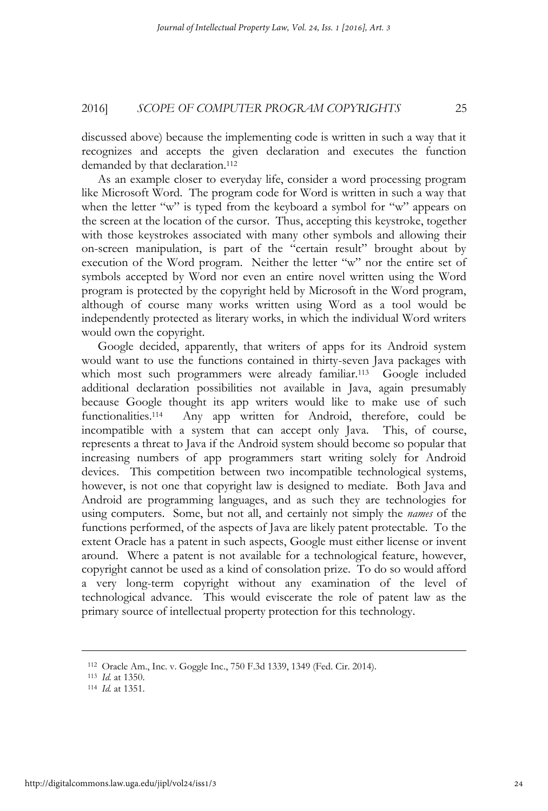discussed above) because the implementing code is written in such a way that it recognizes and accepts the given declaration and executes the function demanded by that declaration.<sup>112</sup>

As an example closer to everyday life, consider a word processing program like Microsoft Word. The program code for Word is written in such a way that when the letter "w" is typed from the keyboard a symbol for "w" appears on the screen at the location of the cursor. Thus, accepting this keystroke, together with those keystrokes associated with many other symbols and allowing their on-screen manipulation, is part of the "certain result" brought about by execution of the Word program. Neither the letter "w" nor the entire set of symbols accepted by Word nor even an entire novel written using the Word program is protected by the copyright held by Microsoft in the Word program, although of course many works written using Word as a tool would be independently protected as literary works, in which the individual Word writers would own the copyright.

Google decided, apparently, that writers of apps for its Android system would want to use the functions contained in thirty-seven Java packages with which most such programmers were already familiar.<sup>113</sup> Google included additional declaration possibilities not available in Java, again presumably because Google thought its app writers would like to make use of such functionalities.114 Any app written for Android, therefore, could be incompatible with a system that can accept only Java. This, of course, represents a threat to Java if the Android system should become so popular that increasing numbers of app programmers start writing solely for Android devices. This competition between two incompatible technological systems, however, is not one that copyright law is designed to mediate. Both Java and Android are programming languages, and as such they are technologies for using computers. Some, but not all, and certainly not simply the *names* of the functions performed, of the aspects of Java are likely patent protectable. To the extent Oracle has a patent in such aspects, Google must either license or invent around. Where a patent is not available for a technological feature, however, copyright cannot be used as a kind of consolation prize. To do so would afford a very long-term copyright without any examination of the level of technological advance. This would eviscerate the role of patent law as the primary source of intellectual property protection for this technology.

<sup>112</sup> Oracle Am., Inc. v. Goggle Inc., 750 F.3d 1339, 1349 (Fed. Cir. 2014). 113 *Id.* at 1350. 114 *Id.* at 1351.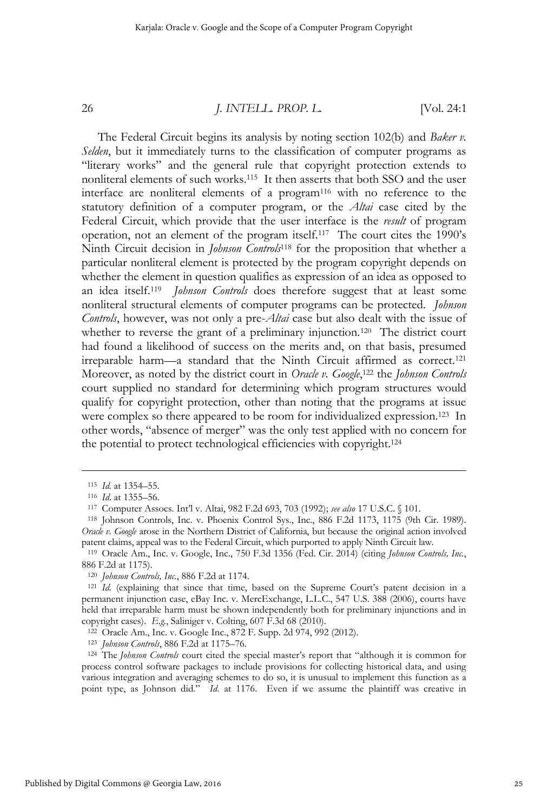The Federal Circuit begins its analysis by noting section 102(b) and *Baker v. Selden*, but it immediately turns to the classification of computer programs as "literary works" and the general rule that copyright protection extends to nonliteral elements of such works.115 It then asserts that both SSO and the user interface are nonliteral elements of a program116 with no reference to the statutory definition of a computer program, or the *Altai* case cited by the Federal Circuit, which provide that the user interface is the *result* of program operation, not an element of the program itself.117 The court cites the 1990's Ninth Circuit decision in *Johnson Controls*118 for the proposition that whether a particular nonliteral element is protected by the program copyright depends on whether the element in question qualifies as expression of an idea as opposed to an idea itself.119 *Johnson Controls* does therefore suggest that at least some nonliteral structural elements of computer programs can be protected. *Johnson Controls*, however, was not only a pre-*Altai* case but also dealt with the issue of whether to reverse the grant of a preliminary injunction.<sup>120</sup> The district court had found a likelihood of success on the merits and, on that basis, presumed irreparable harm—a standard that the Ninth Circuit affirmed as correct.121 Moreover, as noted by the district court in *Oracle v. Google*, 122 the *Johnson Controls* court supplied no standard for determining which program structures would qualify for copyright protection, other than noting that the programs at issue were complex so there appeared to be room for individualized expression.<sup>123</sup> In other words, "absence of merger" was the only test applied with no concern for the potential to protect technological efficiencies with copyright.124

<sup>&</sup>lt;sup>115</sup> *Id.* at 1354–55.<br><sup>116</sup> *Id.* at 1355–56.<br><sup>117</sup> Computer Assocs. Int'l v. Altai, 982 F.2d 693, 703 (1992); *see also* 17 U.S.C. § 101.<br><sup>118</sup> Johnson Controls, Inc. v. Phoenix Control Sys., Inc., 886 F.2d 1173, 1175 ( *Oracle v. Google* arose in the Northern District of California, but because the original action involved patent claims, appeal was to the Federal Circuit, which purported to apply Ninth Circuit law.

<sup>119</sup> Oracle Am., Inc. v. Google, Inc., 750 F.3d 1356 (Fed. Cir. 2014) (citing *Johnson Controls, Inc.*, 886 F.2d at 1175).

<sup>&</sup>lt;sup>120</sup> *Johnson Controls, Inc.*, 886 F.2d at 1174.<br><sup>121</sup> *Id.* (explaining that since that time, based on the Supreme Court's patent decision in a permanent injunction case, eBay Inc. v. MercExchange, L.L.C., 547 U.S. 388 (2006), courts have held that irreparable harm must be shown independently both for preliminary injunctions and in copyright cases). E.g., Saliniger v. Colting, 607 F.3d 68 (2010).<br><sup>122</sup> Oracle Am., Inc. v. Google Inc., 872 F. Supp. 2d 974, 992 (2012).<br><sup>123</sup> Johnson Controls, 886 F.2d at 1175–76.<br><sup>124</sup> The Johnson Controls court cited

process control software packages to include provisions for collecting historical data, and using various integration and averaging schemes to do so, it is unusual to implement this function as a point type, as Johnson did." *Id*. at 1176. Even if we assume the plaintiff was creative in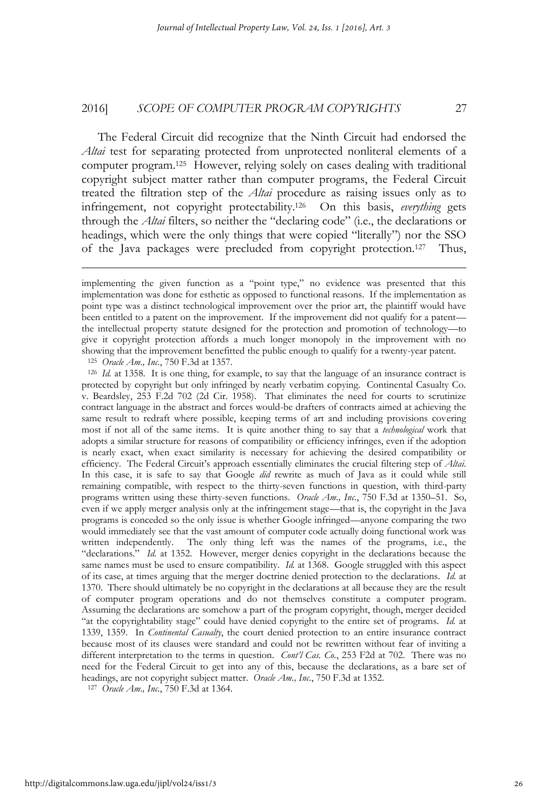The Federal Circuit did recognize that the Ninth Circuit had endorsed the *Altai* test for separating protected from unprotected nonliteral elements of a computer program.125 However, relying solely on cases dealing with traditional copyright subject matter rather than computer programs, the Federal Circuit treated the filtration step of the *Altai* procedure as raising issues only as to infringement, not copyright protectability.126 On this basis, *everything* gets through the *Altai* filters, so neither the "declaring code" (i.e., the declarations or headings, which were the only things that were copied "literally") nor the SSO of the Java packages were precluded from copyright protection.127 Thus,

 $\overline{a}$ 

<sup>125</sup> *Oracle Am., Inc.*, 750 F.3d at 1357.<br><sup>126</sup> *Id.* at 1358. It is one thing, for example, to say that the language of an insurance contract is protected by copyright but only infringed by nearly verbatim copying. Continental Casualty Co. v. Beardsley, 253 F.2d 702 (2d Cir. 1958). That eliminates the need for courts to scrutinize contract language in the abstract and forces would-be drafters of contracts aimed at achieving the same result to redraft where possible, keeping terms of art and including provisions covering most if not all of the same items. It is quite another thing to say that a *technological* work that adopts a similar structure for reasons of compatibility or efficiency infringes, even if the adoption is nearly exact, when exact similarity is necessary for achieving the desired compatibility or efficiency. The Federal Circuit's approach essentially eliminates the crucial filtering step of *Altai*. In this case, it is safe to say that Google *did* rewrite as much of Java as it could while still remaining compatible, with respect to the thirty-seven functions in question, with third-party programs written using these thirty-seven functions. *Oracle Am., Inc.*, 750 F.3d at 1350–51. So, even if we apply merger analysis only at the infringement stage—that is, the copyright in the Java programs is conceded so the only issue is whether Google infringed—anyone comparing the two would immediately see that the vast amount of computer code actually doing functional work was written independently. The only thing left was the names of the programs, i.e., the "declarations." *Id.* at 1352. However, merger denies copyright in the declarations because the same names must be used to ensure compatibility. *Id.* at 1368. Google struggled with this aspect of its case, at times arguing that the merger doctrine denied protection to the declarations. *Id.* at 1370. There should ultimately be no copyright in the declarations at all because they are the result of computer program operations and do not themselves constitute a computer program. Assuming the declarations are somehow a part of the program copyright, though, merger decided "at the copyrightability stage" could have denied copyright to the entire set of programs. *Id.* at 1339, 1359. In *Continental Casualty*, the court denied protection to an entire insurance contract because most of its clauses were standard and could not be rewritten without fear of inviting a different interpretation to the terms in question. *Cont'l Cas. Co.*, 253 F2d at 702. There was no need for the Federal Circuit to get into any of this, because the declarations, as a bare set of headings, are not copyright subject matter. *Oracle Am., Inc.*, 750 F.3d at 1352. 127 *Oracle Am., Inc.*, 750 F.3d at 1364.

implementing the given function as a "point type," no evidence was presented that this implementation was done for esthetic as opposed to functional reasons. If the implementation as point type was a distinct technological improvement over the prior art, the plaintiff would have been entitled to a patent on the improvement. If the improvement did not qualify for a patent the intellectual property statute designed for the protection and promotion of technology—to give it copyright protection affords a much longer monopoly in the improvement with no showing that the improvement benefitted the public enough to qualify for a twenty-year patent.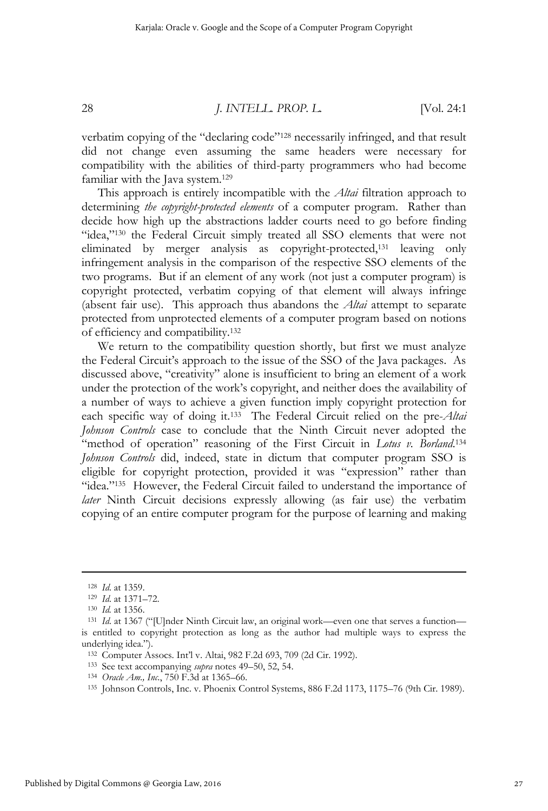verbatim copying of the "declaring code"128 necessarily infringed, and that result did not change even assuming the same headers were necessary for compatibility with the abilities of third-party programmers who had become familiar with the Java system.<sup>129</sup>

This approach is entirely incompatible with the *Altai* filtration approach to determining *the copyright-protected elements* of a computer program. Rather than decide how high up the abstractions ladder courts need to go before finding "idea,"130 the Federal Circuit simply treated all SSO elements that were not eliminated by merger analysis as copyright-protected,131 leaving only infringement analysis in the comparison of the respective SSO elements of the two programs. But if an element of any work (not just a computer program) is copyright protected, verbatim copying of that element will always infringe (absent fair use). This approach thus abandons the *Altai* attempt to separate protected from unprotected elements of a computer program based on notions of efficiency and compatibility.132

We return to the compatibility question shortly, but first we must analyze the Federal Circuit's approach to the issue of the SSO of the Java packages. As discussed above, "creativity" alone is insufficient to bring an element of a work under the protection of the work's copyright, and neither does the availability of a number of ways to achieve a given function imply copyright protection for each specific way of doing it.133 The Federal Circuit relied on the pre-*Altai Johnson Controls* case to conclude that the Ninth Circuit never adopted the "method of operation" reasoning of the First Circuit in *Lotus v. Borland*.<sup>134</sup> *Johnson Controls* did, indeed, state in dictum that computer program SSO is eligible for copyright protection, provided it was "expression" rather than "idea."135 However, the Federal Circuit failed to understand the importance of *later* Ninth Circuit decisions expressly allowing (as fair use) the verbatim copying of an entire computer program for the purpose of learning and making

<sup>128</sup> *Id.* at 1359.<br><sup>129</sup> *Id.* at 1371–72.<br><sup>130</sup> *Id.* at 1356. 131 *Id.* at 1367 ("[U]nder Ninth Circuit law, an original work—even one that serves a function is entitled to copyright protection as long as the author had multiple ways to express the underlying idea.").

<sup>&</sup>lt;sup>132</sup> Computer Assocs. Int'l v. Altai, 982 F.2d 693, 709 (2d Cir. 1992).<br>
<sup>133</sup> See text accompanying *supra* notes 49–50, 52, 54.<br>
<sup>134</sup> Oracle Am., Inc., 750 F.3d at 1365–66.<br>
<sup>135</sup> Johnson Controls, Inc. v. Phoenix Cont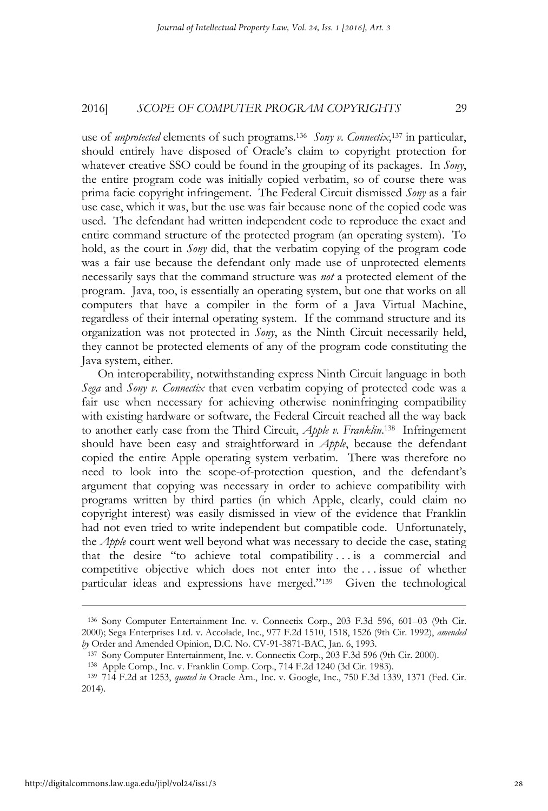use of *unprotected* elements of such programs.136 *Sony v. Connectix*, 137 in particular, should entirely have disposed of Oracle's claim to copyright protection for whatever creative SSO could be found in the grouping of its packages. In *Sony*, the entire program code was initially copied verbatim, so of course there was prima facie copyright infringement. The Federal Circuit dismissed *Sony* as a fair use case, which it was, but the use was fair because none of the copied code was used. The defendant had written independent code to reproduce the exact and entire command structure of the protected program (an operating system). To hold, as the court in *Sony* did, that the verbatim copying of the program code was a fair use because the defendant only made use of unprotected elements necessarily says that the command structure was *not* a protected element of the program. Java, too, is essentially an operating system, but one that works on all computers that have a compiler in the form of a Java Virtual Machine, regardless of their internal operating system. If the command structure and its organization was not protected in *Sony*, as the Ninth Circuit necessarily held, they cannot be protected elements of any of the program code constituting the Java system, either.

On interoperability, notwithstanding express Ninth Circuit language in both *Sega* and *Sony v. Connectix* that even verbatim copying of protected code was a fair use when necessary for achieving otherwise noninfringing compatibility with existing hardware or software, the Federal Circuit reached all the way back to another early case from the Third Circuit, *Apple v. Franklin*. 138 Infringement should have been easy and straightforward in *Apple*, because the defendant copied the entire Apple operating system verbatim. There was therefore no need to look into the scope-of-protection question, and the defendant's argument that copying was necessary in order to achieve compatibility with programs written by third parties (in which Apple, clearly, could claim no copyright interest) was easily dismissed in view of the evidence that Franklin had not even tried to write independent but compatible code. Unfortunately, the *Apple* court went well beyond what was necessary to decide the case, stating that the desire "to achieve total compatibility . . . is a commercial and competitive objective which does not enter into the . . . issue of whether particular ideas and expressions have merged."139 Given the technological

<sup>136</sup> Sony Computer Entertainment Inc. v. Connectix Corp., 203 F.3d 596, 601–03 (9th Cir. 2000); Sega Enterprises Ltd. v. Accolade, Inc., 977 F.2d 1510, 1518, 1526 (9th Cir. 1992), *amended*  by Order and Amended Opinion, D.C. No. CV-91-3871-BAC, Jan. 6, 1993.<br><sup>137</sup> Sony Computer Entertainment, Inc. v. Connectix Corp., 203 F.3d 596 (9th Cir. 2000).<br><sup>138</sup> Apple Comp., Inc. v. Franklin Comp. Corp., 714 F.2d 1240

<sup>2014).</sup>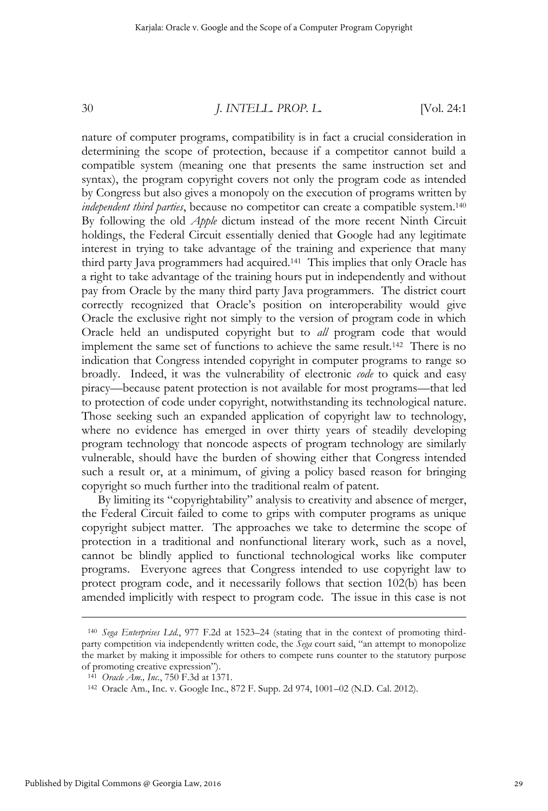nature of computer programs, compatibility is in fact a crucial consideration in determining the scope of protection, because if a competitor cannot build a compatible system (meaning one that presents the same instruction set and syntax), the program copyright covers not only the program code as intended by Congress but also gives a monopoly on the execution of programs written by *independent third parties*, because no competitor can create a compatible system.140 By following the old *Apple* dictum instead of the more recent Ninth Circuit holdings, the Federal Circuit essentially denied that Google had any legitimate interest in trying to take advantage of the training and experience that many third party Java programmers had acquired.141 This implies that only Oracle has a right to take advantage of the training hours put in independently and without pay from Oracle by the many third party Java programmers. The district court correctly recognized that Oracle's position on interoperability would give Oracle the exclusive right not simply to the version of program code in which Oracle held an undisputed copyright but to *all* program code that would implement the same set of functions to achieve the same result.142 There is no indication that Congress intended copyright in computer programs to range so broadly. Indeed, it was the vulnerability of electronic *code* to quick and easy piracy—because patent protection is not available for most programs—that led to protection of code under copyright, notwithstanding its technological nature. Those seeking such an expanded application of copyright law to technology, where no evidence has emerged in over thirty years of steadily developing program technology that noncode aspects of program technology are similarly vulnerable, should have the burden of showing either that Congress intended such a result or, at a minimum, of giving a policy based reason for bringing copyright so much further into the traditional realm of patent.

By limiting its "copyrightability" analysis to creativity and absence of merger, the Federal Circuit failed to come to grips with computer programs as unique copyright subject matter. The approaches we take to determine the scope of protection in a traditional and nonfunctional literary work, such as a novel, cannot be blindly applied to functional technological works like computer programs. Everyone agrees that Congress intended to use copyright law to protect program code, and it necessarily follows that section 102(b) has been amended implicitly with respect to program code. The issue in this case is not

<sup>140</sup> *Sega Enterprises Ltd.*, 977 F.2d at 1523–24 (stating that in the context of promoting thirdparty competition via independently written code, the *Sega* court said, "an attempt to monopolize the market by making it impossible for others to compete runs counter to the statutory purpose of promoting creative expression").

<sup>141</sup> *Oracle Am., Inc.*, 750 F.3d at 1371.<br><sup>142</sup> Oracle Am., Inc. v. Google Inc., 872 F. Supp. 2d 974, 1001–02 (N.D. Cal. 2012).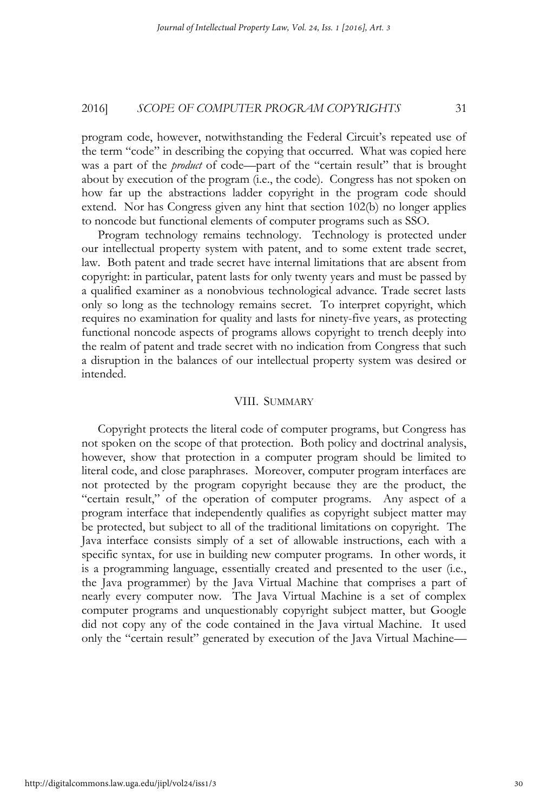program code, however, notwithstanding the Federal Circuit's repeated use of the term "code" in describing the copying that occurred. What was copied here was a part of the *product* of code—part of the "certain result" that is brought about by execution of the program (i.e., the code). Congress has not spoken on how far up the abstractions ladder copyright in the program code should extend. Nor has Congress given any hint that section 102(b) no longer applies to noncode but functional elements of computer programs such as SSO.

Program technology remains technology. Technology is protected under our intellectual property system with patent, and to some extent trade secret, law. Both patent and trade secret have internal limitations that are absent from copyright: in particular, patent lasts for only twenty years and must be passed by a qualified examiner as a nonobvious technological advance. Trade secret lasts only so long as the technology remains secret. To interpret copyright, which requires no examination for quality and lasts for ninety-five years, as protecting functional noncode aspects of programs allows copyright to trench deeply into the realm of patent and trade secret with no indication from Congress that such a disruption in the balances of our intellectual property system was desired or intended.

#### VIII. SUMMARY

Copyright protects the literal code of computer programs, but Congress has not spoken on the scope of that protection. Both policy and doctrinal analysis, however, show that protection in a computer program should be limited to literal code, and close paraphrases. Moreover, computer program interfaces are not protected by the program copyright because they are the product, the "certain result," of the operation of computer programs. Any aspect of a program interface that independently qualifies as copyright subject matter may be protected, but subject to all of the traditional limitations on copyright. The Java interface consists simply of a set of allowable instructions, each with a specific syntax, for use in building new computer programs. In other words, it is a programming language, essentially created and presented to the user (i.e., the Java programmer) by the Java Virtual Machine that comprises a part of nearly every computer now. The Java Virtual Machine is a set of complex computer programs and unquestionably copyright subject matter, but Google did not copy any of the code contained in the Java virtual Machine. It used only the "certain result" generated by execution of the Java Virtual Machine—